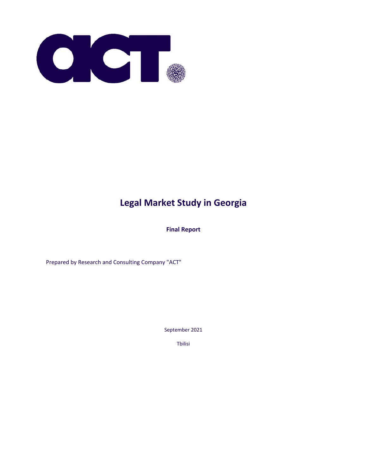

# **Legal Market Study in Georgia**

**Final Report** 

Prepared by Research and Consulting Company "ACT"

September 2021

Tbilisi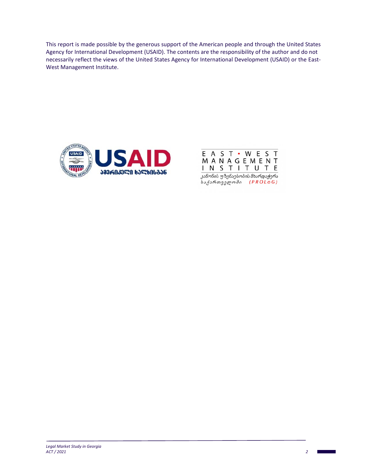This report is made possible by the generous support of the American people and through the United States Agency for International Development (USAID). The contents are the responsibility of the author and do not necessarily reflect the views of the United States Agency for International Development (USAID) or the East-West Management Institute.



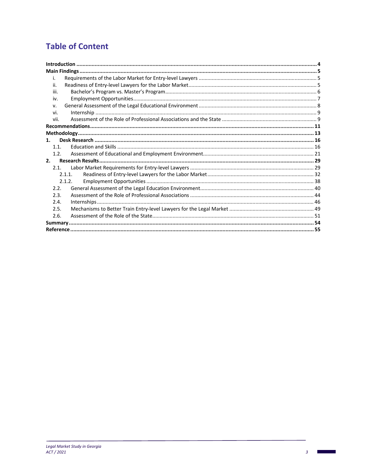# **Table of Content**

| i.     |  |
|--------|--|
| ii.    |  |
| iii.   |  |
| iv.    |  |
| V.     |  |
| vi.    |  |
| vii.   |  |
|        |  |
|        |  |
| 1.     |  |
| 11     |  |
| 1.2.   |  |
| 2.     |  |
| 2.1    |  |
| 2.1.1. |  |
| 2.1.2. |  |
| 2.2.   |  |
| 2.3.   |  |
| 2.4.   |  |
| 2.5.   |  |
| 2.6.   |  |
|        |  |
|        |  |

 $\sim$ 

٦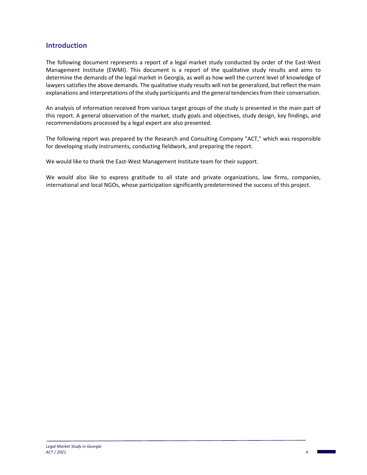# **Introduction**

The following document represents a report of a legal market study conducted by order of the East‐West Management Institute (EWMI). This document is a report of the qualitative study results and aims to determine the demands of the legal market in Georgia, as well as how well the current level of knowledge of lawyers satisfies the above demands. The qualitative study results will not be generalized, but reflect the main explanations and interpretations of the study participants and the general tendencies from their conversation.

An analysis of information received from various target groups of the study is presented in the main part of this report. A general observation of the market, study goals and objectives, study design, key findings, and recommendations processed by a legal expert are also presented.

The following report was prepared by the Research and Consulting Company "ACT," which was responsible for developing study instruments, conducting fieldwork, and preparing the report.

We would like to thank the East-West Management Institute team for their support.

We would also like to express gratitude to all state and private organizations, law firms, companies, international and local NGOs, whose participation significantly predetermined the success of this project.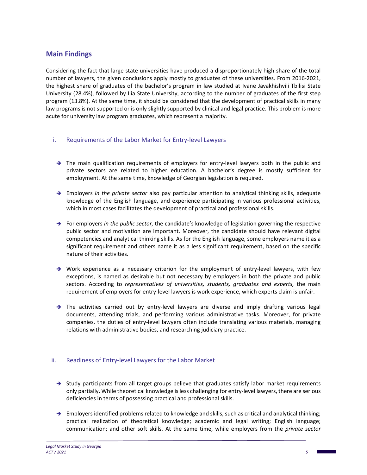# **Main Findings**

Considering the fact that large state universities have produced a disproportionately high share of the total number of lawyers, the given conclusions apply mostly to graduates of these universities. From 2016‐2021, the highest share of graduates of the bachelor's program in law studied at Ivane Javakhishvili Tbilisi State University (28.4%), followed by Ilia State University, according to the number of graduates of the first step program (13.8%). At the same time, it should be considered that the development of practical skills in many law programs is not supported or is only slightly supported by clinical and legal practice. This problem is more acute for university law program graduates, which represent a majority.

- i. Requirements of the Labor Market for Entry‐level Lawyers
- $\rightarrow$  The main qualification requirements of employers for entry-level lawyers both in the public and private sectors are related to higher education. A bachelor's degree is mostly sufficient for employment. At the same time, knowledge of Georgian legislation is required.
- → Employers *in the private sector* also pay particular attention to analytical thinking skills, adequate knowledge of the English language, and experience participating in various professional activities, which in most cases facilitates the development of practical and professional skills.
- → For employers *in the public sector*, the candidate's knowledge of legislation governing the respective public sector and motivation are important. Moreover, the candidate should have relevant digital competencies and analytical thinking skills. As for the English language, some employers name it as a significant requirement and others name it as a less significant requirement, based on the specific nature of their activities.
- → Work experience as a necessary criterion for the employment of entry-level lawyers, with few exceptions, is named as desirable but not necessary by employers in both the private and public sectors. According to *representatives of universities, students, graduates and experts,*  the main requirement of employers for entry‐level lawyers is work experience, which experts claim is unfair*.*
- → The activities carried out by entry-level lawyers are diverse and imply drafting various legal documents, attending trials, and performing various administrative tasks. Moreover, for private companies, the duties of entry-level lawyers often include translating various materials, managing relations with administrative bodies, and researching judiciary practice.

# ii. Readiness of Entry‐level Lawyers for the Labor Market

- $\rightarrow$  Study participants from all target groups believe that graduates satisfy labor market requirements only partially. While theoretical knowledge is less challenging for entry‐level lawyers, there are serious deficiencies in terms of possessing practical and professional skills.
- $\rightarrow$  Employers identified problems related to knowledge and skills, such as critical and analytical thinking; practical realization of theoretical knowledge; academic and legal writing; English language; communication; and other soft skills. At the same time, while employers from the *private sector*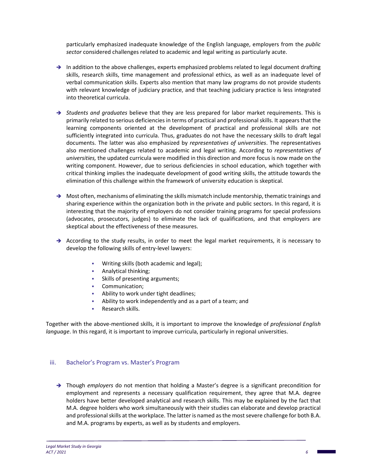particularly emphasized inadequate knowledge of the English language, employers from the *public sector* considered challenges related to academic and legal writing as particularly acute.

- $\rightarrow$  In addition to the above challenges, experts emphasized problems related to legal document drafting skills, research skills, time management and professional ethics, as well as an inadequate level of verbal communication skills. Experts also mention that many law programs do not provide students with relevant knowledge of judiciary practice, and that teaching judiciary practice is less integrated into theoretical curricula.
- → *Students and graduates* believe that they are less prepared for labor market requirements. This is primarily related to serious deficiencies in terms of practical and professional skills. It appears that the learning components oriented at the development of practical and professional skills are not sufficiently integrated into curricula. Thus, graduates do not have the necessary skills to draft legal documents. The latter was also emphasized by *representatives of universities*. The representatives also mentioned challenges related to academic and legal writing. According to *representatives of universities,* the updated curricula were modified in this direction and more focus is now made on the writing component. However, due to serious deficiencies in school education, which together with critical thinking implies the inadequate development of good writing skills, the attitude towards the elimination of this challenge within the framework of university education is skeptical.
- $\rightarrow$  Most often, mechanisms of eliminating the skills mismatch include mentorship, thematic trainings and sharing experience within the organization both in the private and public sectors. In this regard, it is interesting that the majority of employers do not consider training programs for special professions (advocates, prosecutors, judges) to eliminate the lack of qualifications, and that employers are skeptical about the effectiveness of these measures.
- $\rightarrow$  According to the study results, in order to meet the legal market requirements, it is necessary to develop the following skills of entry‐level lawyers:
	- Writing skills (both academic and legal);
	- **Analytical thinking;**
	- Skills of presenting arguments;
	- Communication;
	- Ability to work under tight deadlines;
	- Ability to work independently and as a part of a team; and
	- Research skills.

Together with the above‐mentioned skills, it is important to improve the knowledge of *professional English language*. In this regard, it is important to improve curricula, particularly in regional universities.

### iii. Bachelor's Program vs. Master's Program

→ Though *employers* do not mention that holding a Master's degree is a significant precondition for employment and represents a necessary qualification requirement, they agree that M.A. degree holders have better developed analytical and research skills. This may be explained by the fact that M.A. degree holders who work simultaneously with their studies can elaborate and develop practical and professional skills at the workplace. The latter is named as the most severe challenge for both B.A. and M.A. programs by experts, as well as by students and employers.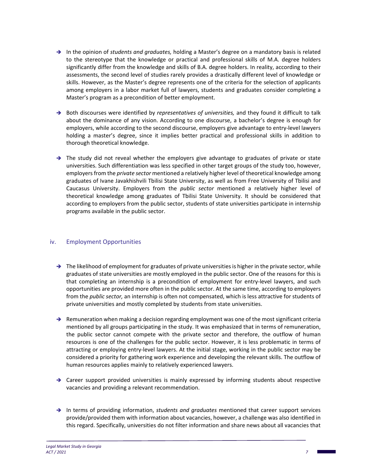- → In the opinion of *students and graduates*, holding a Master's degree on a mandatory basis is related to the stereotype that the knowledge or practical and professional skills of M.A. degree holders significantly differ from the knowledge and skills of B.A. degree holders. In reality, according to their assessments, the second level of studies rarely provides a drastically different level of knowledge or skills. However, as the Master's degree represents one of the criteria for the selection of applicants among employers in a labor market full of lawyers, students and graduates consider completing a Master's program as a precondition of better employment.
- → Both discourses were identified by *representatives of universities*, and they found it difficult to talk about the dominance of any vision. According to one discourse, a bachelor's degree is enough for employers, while according to the second discourse, employers give advantage to entry-level lawyers holding a master's degree, since it implies better practical and professional skills in addition to thorough theoretical knowledge.
- $\rightarrow$  The study did not reveal whether the employers give advantage to graduates of private or state universities. Such differentiation was less specified in other target groups of the study too, however, employers from the *private sector* mentioned a relatively higher level of theoretical knowledge among graduates of Ivane Javakhishvili Tbilisi State University, as well as from Free University of Tbilisi and Caucasus University. Employers from the *public sector* mentioned a relatively higher level of theoretical knowledge among graduates of Tbilisi State University. It should be considered that according to employers from the public sector, students of state universities participate in internship programs available in the public sector.

# iv. Employment Opportunities

- $\rightarrow$  The likelihood of employment for graduates of private universities is higher in the private sector, while graduates of state universities are mostly employed in the public sector. One of the reasons for this is that completing an internship is a precondition of employment for entry-level lawyers, and such opportunities are provided more often in the public sector. At the same time, according to employers from the *public sector,* an internship is often not compensated, which is less attractive for students of private universities and mostly completed by students from state universities.
- $\rightarrow$  Remuneration when making a decision regarding employment was one of the most significant criteria mentioned by all groups participating in the study. It was emphasized that in terms of remuneration, the public sector cannot compete with the private sector and therefore, the outflow of human resources is one of the challenges for the public sector. However, it is less problematic in terms of attracting or employing entry‐level lawyers. At the initial stage, working in the public sector may be considered a priority for gathering work experience and developing the relevant skills. The outflow of human resources applies mainly to relatively experienced lawyers.
- $\rightarrow$  Career support provided universities is mainly expressed by informing students about respective vacancies and providing a relevant recommendation.
- → In terms of providing information, *students and graduates* mentioned that career support services provide/provided them with information about vacancies, however, a challenge was also identified in this regard. Specifically, universities do not filter information and share news about all vacancies that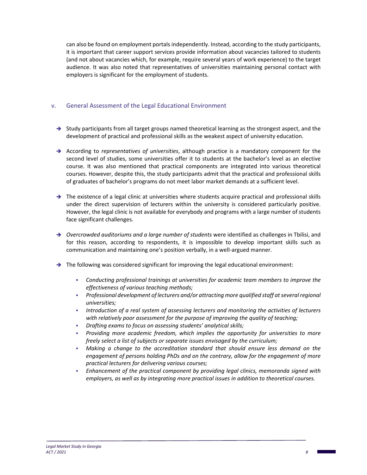can also be found on employment portals independently. Instead, according to the study participants, it is important that career support services provide information about vacancies tailored to students (and not about vacancies which, for example, require several years of work experience) to the target audience. It was also noted that representatives of universities maintaining personal contact with employers is significant for the employment of students.

# v. General Assessment of the Legal Educational Environment

- $\rightarrow$  Study participants from all target groups named theoretical learning as the strongest aspect, and the development of practical and professional skills as the weakest aspect of university education.
- According to *representatives of universities*, although practice is a mandatory component for the second level of studies, some universities offer it to students at the bachelor's level as an elective course. It was also mentioned that practical components are integrated into various theoretical courses. However, despite this, the study participants admit that the practical and professional skills of graduates of bachelor's programs do not meet labor market demands at a sufficient level.
- $\rightarrow$  The existence of a legal clinic at universities where students acquire practical and professional skills under the direct supervision of lecturers within the university is considered particularly positive. However, the legal clinic is not available for everybody and programs with a large number of students face significant challenges.
- → Overcrowded auditoriums and a large number of students were identified as challenges in Tbilisi, and for this reason, according to respondents, it is impossible to develop important skills such as communication and maintaining one's position verbally, in a well-argued manner.
- $\rightarrow$  The following was considered significant for improving the legal educational environment:
	- *Conducting professional trainings at universities for academic team members to improve the effectiveness of various teaching methods;*
	- **Professional development of lecturers and/or attracting more qualified staff at several regional** *universities;*
	- *Introduction of a real system of assessing lecturers and monitoring the activities of lecturers with relatively poor assessment for the purpose of improving the quality of teaching;*
	- *Drafting exams to focus on assessing students' analytical skills;*
	- *Providing more academic freedom, which implies the opportunity for universities to more freely select a list of subjects or separate issues envisaged by the curriculum;*
	- *Making a change to the accreditation standard that should ensure less demand on the engagement of persons holding PhDs and on the contrary, allow for the engagement of more practical lecturers for delivering various courses;*
	- *Enhancement of the practical component by providing legal clinics, memoranda signed with employers, as well as by integrating more practical issues in addition to theoretical courses.*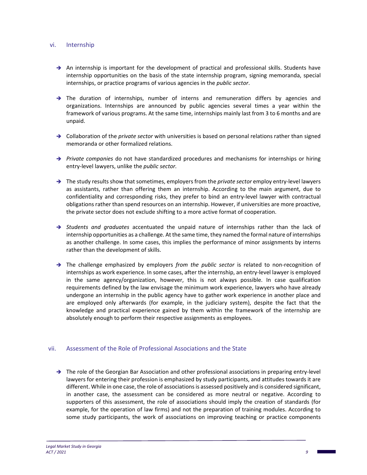### vi. Internship

- $\rightarrow$  An internship is important for the development of practical and professional skills. Students have internship opportunities on the basis of the state internship program, signing memoranda, special internships, or practice programs of various agencies in the *public sector*.
- $\rightarrow$  The duration of internships, number of interns and remuneration differs by agencies and organizations. Internships are announced by public agencies several times a year within the framework of various programs. At the same time, internships mainly last from 3 to 6 months and are unpaid.
- → Collaboration of the *private sector* with universities is based on personal relations rather than signed memoranda or other formalized relations.
- *Private companies* do not have standardized procedures and mechanisms for internships or hiring entry‐level lawyers, unlike the *public sector.*
- The study results show that sometimes, employers from the *private sector* employ entry‐level lawyers as assistants, rather than offering them an internship. According to the main argument, due to confidentiality and corresponding risks, they prefer to bind an entry‐level lawyer with contractual obligations rather than spend resources on an internship. However, if universities are more proactive, the private sector does not exclude shifting to a more active format of cooperation.
- *Students and graduates*  accentuated the unpaid nature of internships rather than the lack of internship opportunities as a challenge. At the same time, they named the formal nature of internships as another challenge. In some cases, this implies the performance of minor assignments by interns rather than the development of skills.
- → The challenge emphasized by employers *from the public sector* is related to non-recognition of internships as work experience. In some cases, after the internship, an entry‐level lawyer is employed in the same agency/organization, however, this is not always possible. In case qualification requirements defined by the law envisage the minimum work experience, lawyers who have already undergone an internship in the public agency have to gather work experience in another place and are employed only afterwards (for example, in the judiciary system), despite the fact that the knowledge and practical experience gained by them within the framework of the internship are absolutely enough to perform their respective assignments as employees.

### vii. Assessment of the Role of Professional Associations and the State

→ The role of the Georgian Bar Association and other professional associations in preparing entry-level lawyers for entering their profession is emphasized by study participants, and attitudes towards it are different. While in one case, the role of associations is assessed positively and is considered significant, in another case, the assessment can be considered as more neutral or negative. According to supporters of this assessment, the role of associations should imply the creation of standards (for example, for the operation of law firms) and not the preparation of training modules. According to some study participants, the work of associations on improving teaching or practice components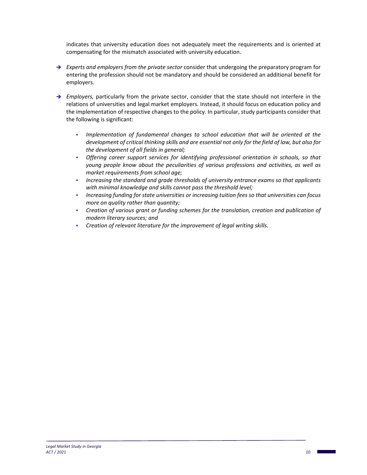indicates that university education does not adequately meet the requirements and is oriented at compensating for the mismatch associated with university education.

- *Experts and employers from the private sector* consider that undergoing the preparatory program for entering the profession should not be mandatory and should be considered an additional benefit for employers.
- → *Employers,* particularly from the private sector, consider that the state should not interfere in the relations of universities and legal market employers. Instead, it should focus on education policy and the implementation of respective changes to the policy. In particular, study participants consider that the following is significant:
	- *Implementation of fundamental changes to school education that will be oriented at the development of critical thinking skills and are essential not only for the field of law, but also for the development of all fields in general;*
	- *Offering career support services for identifying professional orientation in schools, so that young people know about the peculiarities of various professions and activities, as well as market requirements from school age;*
	- *Increasing the standard and grade thresholds of university entrance exams so that applicants with minimal knowledge and skills cannot pass the threshold level;*
	- *Increasing funding for state universities or increasing tuition fees so that universities can focus more on quality rather than quantity;*
	- *Creation of various grant or funding schemes for the translation, creation and publication of modern literary sources; and*
	- *Creation of relevant literature for the improvement of legal writing skills.*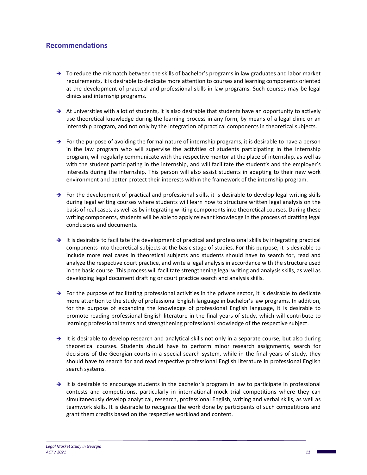# **Recommendations**

- $\rightarrow$  To reduce the mismatch between the skills of bachelor's programs in law graduates and labor market requirements, it is desirable to dedicate more attention to courses and learning components oriented at the development of practical and professional skills in law programs. Such courses may be legal clinics and internship programs.
- $\rightarrow$  At universities with a lot of students, it is also desirable that students have an opportunity to actively use theoretical knowledge during the learning process in any form, by means of a legal clinic or an internship program, and not only by the integration of practical components in theoretical subjects.
- $\rightarrow$  For the purpose of avoiding the formal nature of internship programs, it is desirable to have a person in the law program who will supervise the activities of students participating in the internship program, will regularly communicate with the respective mentor at the place of internship, as well as with the student participating in the internship, and will facilitate the student's and the employer's interests during the internship. This person will also assist students in adapting to their new work environment and better protect their interests within the framework of the internship program.
- $\rightarrow$  For the development of practical and professional skills, it is desirable to develop legal writing skills during legal writing courses where students will learn how to structure written legal analysis on the basis of real cases, as well as by integrating writing components into theoretical courses. During these writing components, students will be able to apply relevant knowledge in the process of drafting legal conclusions and documents.
- $\rightarrow$  It is desirable to facilitate the development of practical and professional skills by integrating practical components into theoretical subjects at the basic stage of studies. For this purpose, it is desirable to include more real cases in theoretical subjects and students should have to search for, read and analyze the respective court practice, and write a legal analysis in accordance with the structure used in the basic course. This process will facilitate strengthening legal writing and analysis skills, as well as developing legal document drafting or court practice search and analysis skills.
- $\rightarrow$  For the purpose of facilitating professional activities in the private sector, it is desirable to dedicate more attention to the study of professional English language in bachelor's law programs. In addition, for the purpose of expanding the knowledge of professional English language, it is desirable to promote reading professional English literature in the final years of study, which will contribute to learning professional terms and strengthening professional knowledge of the respective subject.
- $\rightarrow$  It is desirable to develop research and analytical skills not only in a separate course, but also during theoretical courses. Students should have to perform minor research assignments, search for decisions of the Georgian courts in a special search system, while in the final years of study, they should have to search for and read respective professional English literature in professional English search systems.
- $\rightarrow$  It is desirable to encourage students in the bachelor's program in law to participate in professional contests and competitions, particularly in international mock trial competitions where they can simultaneously develop analytical, research, professional English, writing and verbal skills, as well as teamwork skills. It is desirable to recognize the work done by participants of such competitions and grant them credits based on the respective workload and content.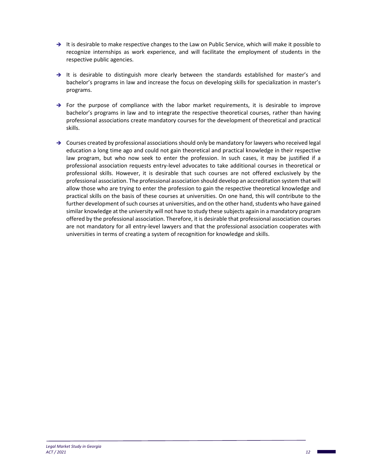- $\rightarrow$  It is desirable to make respective changes to the Law on Public Service, which will make it possible to recognize internships as work experience, and will facilitate the employment of students in the respective public agencies.
- $\rightarrow$  It is desirable to distinguish more clearly between the standards established for master's and bachelor's programs in law and increase the focus on developing skills for specialization in master's programs.
- $\rightarrow$  For the purpose of compliance with the labor market requirements, it is desirable to improve bachelor's programs in law and to integrate the respective theoretical courses, rather than having professional associations create mandatory courses for the development of theoretical and practical skills.
- $\rightarrow$  Courses created by professional associations should only be mandatory for lawyers who received legal education a long time ago and could not gain theoretical and practical knowledge in their respective law program, but who now seek to enter the profession. In such cases, it may be justified if a professional association requests entry‐level advocates to take additional courses in theoretical or professional skills. However, it is desirable that such courses are not offered exclusively by the professional association. The professional association should develop an accreditation system that will allow those who are trying to enter the profession to gain the respective theoretical knowledge and practical skills on the basis of these courses at universities. On one hand, this will contribute to the further development of such courses at universities, and on the other hand, students who have gained similar knowledge at the university will not have to study these subjects again in a mandatory program offered by the professional association. Therefore, it is desirable that professional association courses are not mandatory for all entry‐level lawyers and that the professional association cooperates with universities in terms of creating a system of recognition for knowledge and skills.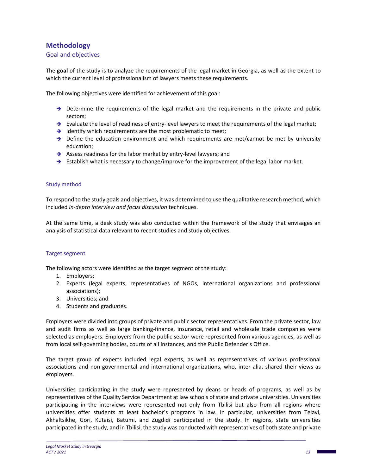# **Methodology**

### Goal and objectives

The **goal** of the study is to analyze the requirements of the legal market in Georgia, as well as the extent to which the current level of professionalism of lawyers meets these requirements.

The following objectives were identified for achievement of this goal:

- $\rightarrow$  Determine the requirements of the legal market and the requirements in the private and public sectors;
- → Evaluate the level of readiness of entry-level lawyers to meet the requirements of the legal market;
- $\rightarrow$  Identify which requirements are the most problematic to meet;
- $\rightarrow$  Define the education environment and which requirements are met/cannot be met by university education;
- → Assess readiness for the labor market by entry-level lawyers; and
- $\rightarrow$  Establish what is necessary to change/improve for the improvement of the legal labor market.

### Study method

To respond to the study goals and objectives, it was determined to use the qualitative research method, which included *in‐depth interview and focus discussion* techniques.

At the same time, a desk study was also conducted within the framework of the study that envisages an analysis of statistical data relevant to recent studies and study objectives.

### Target segment

The following actors were identified as the target segment of the study:

- 1. Employers;
- 2. Experts (legal experts, representatives of NGOs, international organizations and professional associations);
- 3. Universities; and
- 4. Students and graduates.

Employers were divided into groups of private and public sector representatives. From the private sector, law and audit firms as well as large banking‐finance, insurance, retail and wholesale trade companies were selected as employers. Employers from the public sector were represented from various agencies, as well as from local self-governing bodies, courts of all instances, and the Public Defender's Office.

The target group of experts included legal experts, as well as representatives of various professional associations and non‐governmental and international organizations, who, inter alia, shared their views as employers.

Universities participating in the study were represented by deans or heads of programs, as well as by representatives of the Quality Service Department at law schools of state and private universities. Universities participating in the interviews were represented not only from Tbilisi but also from all regions where universities offer students at least bachelor's programs in law. In particular, universities from Telavi, Akhaltsikhe, Gori, Kutaisi, Batumi, and Zugdidi participated in the study. In regions, state universities participated in the study, and in Tbilisi, the study was conducted with representatives of both state and private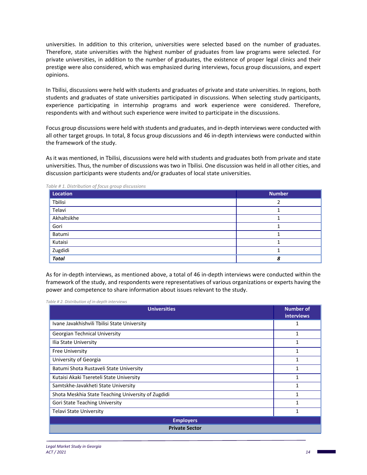universities. In addition to this criterion, universities were selected based on the number of graduates. Therefore, state universities with the highest number of graduates from law programs were selected. For private universities, in addition to the number of graduates, the existence of proper legal clinics and their prestige were also considered, which was emphasized during interviews, focus group discussions, and expert opinions.

In Tbilisi, discussions were held with students and graduates of private and state universities. In regions, both students and graduates of state universities participated in discussions. When selecting study participants, experience participating in internship programs and work experience were considered. Therefore, respondents with and without such experience were invited to participate in the discussions.

Focus group discussions were held with students and graduates, and in‐depth interviews were conducted with all other target groups. In total, 8 focus group discussions and 46 in‐depth interviews were conducted within the framework of the study.

As it was mentioned, in Tbilisi, discussions were held with students and graduates both from private and state universities. Thus, the number of discussions was two in Tbilisi. One discussion was held in all other cities, and discussion participants were students and/or graduates of local state universities.

| Location     | <b>Number</b> |
|--------------|---------------|
| Tbilisi      |               |
| Telavi       |               |
| Akhaltsikhe  |               |
| Gori         |               |
| Batumi       |               |
| Kutaisi      |               |
| Zugdidi      |               |
| <b>Total</b> | ο             |

*Table # 1. Distribution of focus group discussions* 

As for in‐depth interviews, as mentioned above, a total of 46 in‐depth interviews were conducted within the framework of the study, and respondents were representatives of various organizations or experts having the power and competence to share information about issues relevant to the study.

*Table # 2. Distribution of in‐depth interviews* 

| <b>Universities</b>                                | <b>Number of</b><br><b>interviews</b> |
|----------------------------------------------------|---------------------------------------|
| Ivane Javakhishvili Tbilisi State University       |                                       |
| Georgian Technical University                      |                                       |
| Ilia State University                              |                                       |
| <b>Free University</b>                             |                                       |
| University of Georgia                              |                                       |
| Batumi Shota Rustaveli State University            |                                       |
| Kutaisi Akaki Tsereteli State University           |                                       |
| Samtskhe-Javakheti State University                |                                       |
| Shota Meskhia State Teaching University of Zugdidi |                                       |
| <b>Gori State Teaching University</b>              |                                       |
| Telavi State University                            |                                       |
| <b>Employers</b>                                   |                                       |
| <b>Private Sector</b>                              |                                       |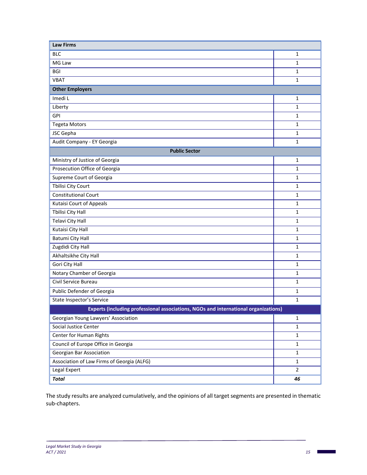| <b>Law Firms</b>                                                                    |                |
|-------------------------------------------------------------------------------------|----------------|
| <b>BLC</b>                                                                          | $\mathbf{1}$   |
| MG Law                                                                              | 1              |
| <b>BGI</b>                                                                          | $\mathbf 1$    |
| <b>VBAT</b>                                                                         | $\mathbf{1}$   |
| <b>Other Employers</b>                                                              |                |
| Imedi L                                                                             | $\mathbf{1}$   |
| Liberty                                                                             | 1              |
| GPI                                                                                 | 1              |
| <b>Tegeta Motors</b>                                                                | 1              |
| JSC Gepha                                                                           | $\mathbf 1$    |
| Audit Company - EY Georgia                                                          | $\mathbf{1}$   |
| <b>Public Sector</b>                                                                |                |
| Ministry of Justice of Georgia                                                      | $\mathbf{1}$   |
| Prosecution Office of Georgia                                                       | $\mathbf 1$    |
| Supreme Court of Georgia                                                            | $\mathbf 1$    |
| Tbilisi City Court                                                                  | $\mathbf{1}$   |
| <b>Constitutional Court</b>                                                         | $\mathbf 1$    |
| Kutaisi Court of Appeals                                                            | 1              |
| Tbilisi City Hall                                                                   | $\mathbf 1$    |
| Telavi City Hall                                                                    | $\mathbf 1$    |
| Kutaisi City Hall                                                                   | $\mathbf 1$    |
| <b>Batumi City Hall</b>                                                             | $\mathbf{1}$   |
| Zugdidi City Hall                                                                   | $\mathbf{1}$   |
| Akhaltsikhe City Hall                                                               | $\mathbf 1$    |
| Gori City Hall                                                                      | $\mathbf{1}$   |
| Notary Chamber of Georgia                                                           | $\mathbf{1}$   |
| Civil Service Bureau                                                                | $\mathbf 1$    |
| Public Defender of Georgia                                                          | 1              |
| State Inspector's Service                                                           | $\mathbf 1$    |
| Experts (including professional associations, NGOs and international organizations) |                |
| Georgian Young Lawyers' Association                                                 | $\mathbf{1}$   |
| Social Justice Center                                                               | $\mathbf{1}$   |
| Center for Human Rights                                                             | $\mathbf{1}$   |
| Council of Europe Office in Georgia                                                 | $\mathbf{1}$   |
| Georgian Bar Association                                                            | $\mathbf{1}$   |
| Association of Law Firms of Georgia (ALFG)                                          | $\mathbf 1$    |
| Legal Expert                                                                        | $\overline{2}$ |
| <b>Total</b>                                                                        | 46             |

The study results are analyzed cumulatively, and the opinions of all target segments are presented in thematic sub‐chapters.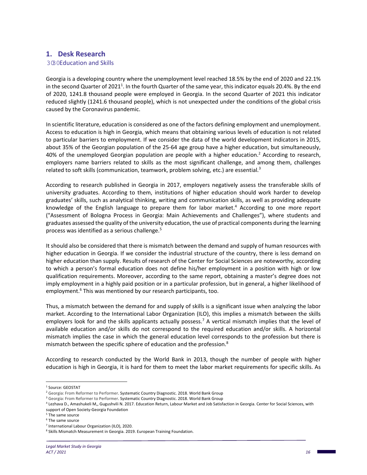# **1. Desk Research**

# 3080 Education and Skills

Georgia is a developing country where the unemployment level reached 18.5% by the end of 2020 and 22.1% in the second Quarter of 2021<sup>1</sup>. In the fourth Quarter of the same year, this indicator equals 20.4%. By the end of 2020, 1241.8 thousand people were employed in Georgia. In the second Quarter of 2021 this indicator reduced slightly (1241.6 thousand people), which is not unexpected under the conditions of the global crisis caused by the Coronavirus pandemic.

In scientific literature, education is considered as one of the factors defining employment and unemployment. Access to education is high in Georgia, which means that obtaining various levels of education is not related to particular barriers to employment. If we consider the data of the world development indicators in 2015, about 35% of the Georgian population of the 25‐64 age group have a higher education, but simultaneously, 40% of the unemployed Georgian population are people with a higher education.<sup>2</sup> According to research, employers name barriers related to skills as the most significant challenge, and among them, challenges related to soft skills (communication, teamwork, problem solving, etc.) are essential.<sup>3</sup>

According to research published in Georgia in 2017, employers negatively assess the transferable skills of university graduates. According to them, institutions of higher education should work harder to develop graduates' skills, such as analytical thinking, writing and communication skills, as well as providing adequate knowledge of the English language to prepare them for labor market.<sup>4</sup> According to one more report ("Assessment of Bologna Process in Georgia: Main Achievements and Challenges"), where students and graduates assessed the quality of the university education, the use of practical components during the learning process was identified as a serious challenge.<sup>5</sup>

It should also be considered that there is mismatch between the demand and supply of human resources with higher education in Georgia. If we consider the industrial structure of the country, there is less demand on higher education than supply. Results of research of the Center for Social Sciences are noteworthy, according to which a person's formal education does not define his/her employment in a position with high or low qualification requirements. Moreover, according to the same report, obtaining a master's degree does not imply employment in a highly paid position or in a particular profession, but in general, a higher likelihood of employment.<sup>6</sup> This was mentioned by our research participants, too.

Thus, a mismatch between the demand for and supply of skills is a significant issue when analyzing the labor market. According to the International Labor Organization (ILO), this implies a mismatch between the skills employers look for and the skills applicants actually possess.<sup>7</sup> A vertical mismatch implies that the level of available education and/or skills do not correspond to the required education and/or skills. A horizontal mismatch implies the case in which the general education level corresponds to the profession but there is mismatch between the specific sphere of education and the profession. $8$ 

According to research conducted by the World Bank in 2013, though the number of people with higher education is high in Georgia, it is hard for them to meet the labor market requirements for specific skills. As

<sup>1</sup> Source: GEOSTAT

<sup>2</sup> Georgia: From Reformer to Performer. Systematic Country Diagnostic. 2018. World Bank Group

<sup>&</sup>lt;sup>3</sup> Georgia: From Reformer to Performer. Systematic Country Diagnostic. 2018. World Bank Group

<sup>4</sup> Lezhava D., Amashukeli M,, Gugushvili N. 2017. Education Return, Labour Market and Job Satisfaction in Georgia. Center for Social Sciences, with support of Open Society‐Georgia Foundation

<sup>5</sup> The same source

<sup>6</sup> The same source

<sup>7</sup> International Labour Organization (ILO), 2020.

<sup>&</sup>lt;sup>8</sup> Skills Mismatch Measurement in Georgia. 2019. European Training Foundation.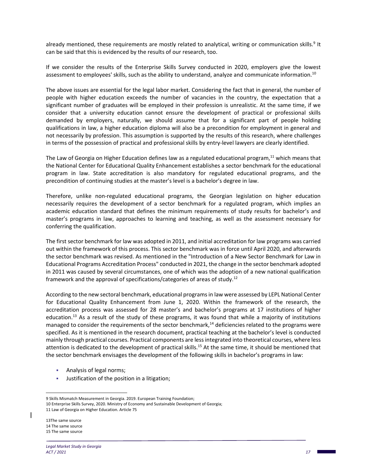already mentioned, these requirements are mostly related to analytical, writing or communication skills.<sup>9</sup> It can be said that this is evidenced by the results of our research, too.

If we consider the results of the Enterprise Skills Survey conducted in 2020, employers give the lowest assessment to employees' skills, such as the ability to understand, analyze and communicate information.<sup>10</sup>

The above issues are essential for the legal labor market. Considering the fact that in general, the number of people with higher education exceeds the number of vacancies in the country, the expectation that a significant number of graduates will be employed in their profession is unrealistic. At the same time, if we consider that a university education cannot ensure the development of practical or professional skills demanded by employers, naturally, we should assume that for a significant part of people holding qualifications in law, a higher education diploma will also be a precondition for employment in general and not necessarily by profession. This assumption is supported by the results of this research, where challenges in terms of the possession of practical and professional skills by entry‐level lawyers are clearly identified.

The Law of Georgia on Higher Education defines law as a regulated educational program,<sup>11</sup> which means that the National Center for Educational Quality Enhancement establishes a sector benchmark for the educational program in law. State accreditation is also mandatory for regulated educational programs, and the precondition of continuing studies at the master's level is a bachelor's degree in law.

Therefore, unlike non‐regulated educational programs, the Georgian legislation on higher education necessarily requires the development of a sector benchmark for a regulated program, which implies an academic education standard that defines the minimum requirements of study results for bachelor's and master's programs in law, approaches to learning and teaching, as well as the assessment necessary for conferring the qualification.

The first sector benchmark for law was adopted in 2011, and initial accreditation for law programs was carried out within the framework of this process. This sector benchmark was in force until April 2020, and afterwards the sector benchmark was revised. As mentioned in the "Introduction of a New Sector Benchmark for Law in Educational Programs Accreditation Process" conducted in 2021, the change in the sector benchmark adopted in 2011 was caused by several circumstances, one of which was the adoption of a new national qualification framework and the approval of specifications/categories of areas of study.12

According to the new sectoral benchmark, educational programs in law were assessed by LEPL National Center for Educational Quality Enhancement from June 1, 2020. Within the framework of the research, the accreditation process was assessed for 28 master's and bachelor's programs at 17 institutions of higher education.<sup>13</sup> As a result of the study of these programs, it was found that while a majority of institutions managed to consider the requirements of the sector benchmark,<sup>14</sup> deficiencies related to the programs were specified. As it is mentioned in the research document, practical teaching at the bachelor's level is conducted mainly through practical courses. Practical components are less integrated into theoretical courses, where less attention is dedicated to the development of practical skills.15 At the same time, it should be mentioned that the sector benchmark envisages the development of the following skills in bachelor's programs in law:

- Analysis of legal norms;
- Justification of the position in a litigation;

<sup>9</sup> Skills Mismatch Measurement in Georgia. 2019. European Training Foundation;

<sup>10</sup> Enterprise Skills Survey, 2020. Ministry of Economy and Sustainable Development of Georgia;

<sup>11</sup> Law of Georgia on Higher Education. Article 75

<sup>13</sup>The same source 14 The same source 15 The same source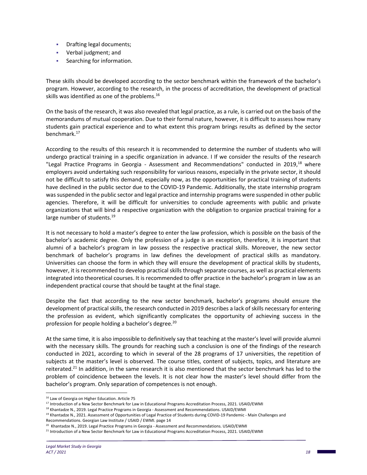- **Drafting legal documents;**
- **•** Verbal judgment; and
- **Searching for information.**

These skills should be developed according to the sector benchmark within the framework of the bachelor's program. However, according to the research, in the process of accreditation, the development of practical skills was identified as one of the problems.<sup>16</sup>

On the basis of the research, it was also revealed that legal practice, as a rule, is carried out on the basis of the memorandums of mutual cooperation. Due to their formal nature, however, it is difficult to assess how many students gain practical experience and to what extent this program brings results as defined by the sector benchmark.<sup>17</sup>

According to the results of this research it is recommended to determine the number of students who will undergo practical training in a specific organization in advance. I If we consider the results of the research "Legal Practice Programs in Georgia - Assessment and Recommendations" conducted in 2019,<sup>18</sup> where employers avoid undertaking such responsibility for various reasons, especially in the private sector, it should not be difficult to satisfy this demand, especially now, as the opportunities for practical training of students have declined in the public sector due to the COVID‐19 Pandemic. Additionally, the state internship program was suspended in the public sector and legal practice and internship programs were suspended in other public agencies. Therefore, it will be difficult for universities to conclude agreements with public and private organizations that will bind a respective organization with the obligation to organize practical training for a large number of students.<sup>19</sup>

It is not necessary to hold a master's degree to enter the law profession, which is possible on the basis of the bachelor's academic degree. Only the profession of a judge is an exception, therefore, it is important that alumni of a bachelor's program in law possess the respective practical skills. Moreover, the new sector benchmark of bachelor's programs in law defines the development of practical skills as mandatory. Universities can choose the form in which they will ensure the development of practical skills by students, however, it is recommended to develop practical skills through separate courses, as well as practical elements integrated into theoretical courses. It is recommended to offer practice in the bachelor's program in law as an independent practical course that should be taught at the final stage.

Despite the fact that according to the new sector benchmark, bachelor's programs should ensure the development of practical skills, the research conducted in 2019 describes a lack of skills necessary for entering the profession as evident, which significantly complicates the opportunity of achieving success in the profession for people holding a bachelor's degree.<sup>20</sup>

At the same time, it is also impossible to definitively say that teaching at the master's level will provide alumni with the necessary skills. The grounds for reaching such a conclusion is one of the findings of the research conducted in 2021, according to which in several of the 28 programs of 17 universities, the repetition of subjects at the master's level is observed. The course titles, content of subjects, topics, and literature are reiterated.<sup>21</sup> In addition, in the same research it is also mentioned that the sector benchmark has led to the problem of coincidence between the levels. It is not clear how the master's level should differ from the bachelor's program. Only separation of competences is not enough.

<sup>&</sup>lt;sup>16</sup> Law of Georgia on Higher Education. Article 75

<sup>17</sup> Introduction of a New Sector Benchmark for Law in Educational Programs Accreditation Process, 2021. USAID/EWMI

<sup>&</sup>lt;sup>18</sup> Khantadze N., 2019. Legal Practice Programs in Georgia - Assessment and Recommendations. USAID/EWMI

<sup>19</sup> Khantadze N., 2021. Assessment of Opportunities of Legal Practice of Students during COVID-19 Pandemic - Main Challenges and Recommendations. Georgian Law Institute / USAID / EWMI. page 14

<sup>&</sup>lt;sup>20</sup> Khantadze N., 2019. Legal Practice Programs in Georgia - Assessment and Recommendations. USAID/EWMI

<sup>&</sup>lt;sup>21</sup> Introduction of a New Sector Benchmark for Law in Educational Programs Accreditation Process, 2021. USAID/EWMI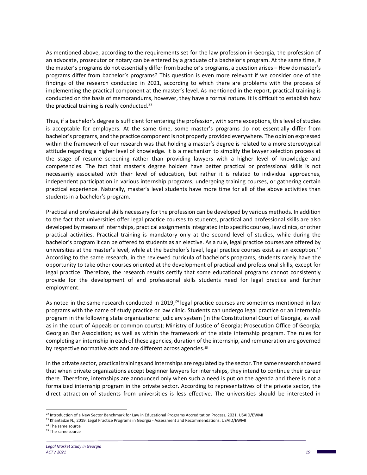As mentioned above, according to the requirements set for the law profession in Georgia, the profession of an advocate, prosecutor or notary can be entered by a graduate of a bachelor's program. At the same time, if the master's programs do not essentially differ from bachelor's programs, a question arises – How do master's programs differ from bachelor's programs? This question is even more relevant if we consider one of the findings of the research conducted in 2021, according to which there are problems with the process of implementing the practical component at the master's level. As mentioned in the report, practical training is conducted on the basis of memorandums, however, they have a formal nature. It is difficult to establish how the practical training is really conducted. $^{22}$ 

Thus, if a bachelor's degree is sufficient for entering the profession, with some exceptions, this level of studies is acceptable for employers. At the same time, some master's programs do not essentially differ from bachelor's programs, and the practice component is not properly provided everywhere. The opinion expressed within the framework of our research was that holding a master's degree is related to a more stereotypical attitude regarding a higher level of knowledge. It is a mechanism to simplify the lawyer selection process at the stage of resume screening rather than providing lawyers with a higher level of knowledge and competencies. The fact that master's degree holders have better practical or professional skills is not necessarily associated with their level of education, but rather it is related to individual approaches, independent participation in various internship programs, undergoing training courses, or gathering certain practical experience. Naturally, master's level students have more time for all of the above activities than students in a bachelor's program.

Practical and professional skills necessary for the profession can be developed by various methods. In addition to the fact that universities offer legal practice courses to students, practical and professional skills are also developed by means of internships, practical assignments integrated into specific courses, law clinics, or other practical activities. Practical training is mandatory only at the second level of studies, while during the bachelor's program it can be offered to students as an elective. As a rule, legal practice courses are offered by universities at the master's level, while at the bachelor's level, legal practice courses exist as an exception.<sup>23</sup> According to the same research, in the reviewed curricula of bachelor's programs, students rarely have the opportunity to take other courses oriented at the development of practical and professional skills, except for legal practice. Therefore, the research results certify that some educational programs cannot consistently provide for the development of and professional skills students need for legal practice and further employment.

As noted in the same research conducted in 2019, $^{24}$  legal practice courses are sometimes mentioned in law programs with the name of study practice or law clinic. Students can undergo legal practice or an internship program in the following state organizations: judiciary system (in the Constitutional Court of Georgia, as well as in the court of Appeals or common courts); Ministry of Justice of Georgia; Prosecution Office of Georgia; Georgian Bar Association; as well as within the framework of the state internship program. The rules for completing an internship in each of these agencies, duration of the internship, and remuneration are governed by respective normative acts and are different across agencies.<sup>25</sup>

In the private sector, practical trainings and internships are regulated by the sector. The same research showed that when private organizations accept beginner lawyers for internships, they intend to continue their career there. Therefore, internships are announced only when such a need is put on the agenda and there is not a formalized internship program in the private sector. According to representatives of the private sector, the direct attraction of students from universities is less effective. The universities should be interested in

 $\overline{a}$ <sup>22</sup> Introduction of a New Sector Benchmark for Law in Educational Programs Accreditation Process, 2021. USAID/EWMI

<sup>&</sup>lt;sup>23</sup> Khantadze N., 2019. Legal Practice Programs in Georgia - Assessment and Recommendations. USAID/EWMI

<sup>&</sup>lt;sup>24</sup> The same source

<sup>&</sup>lt;sup>25</sup> The same source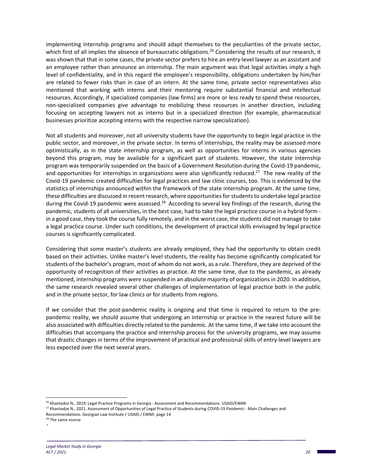implementing internship programs and should adapt themselves to the peculiarities of the private sector, which first of all implies the absence of bureaucratic obligations.<sup>26</sup> Considering the results of our research, it was shown that that in some cases, the private sector prefers to hire an entry-level lawyer as an assistant and an employee rather than announce an internship. The main argument was that legal activities imply a high level of confidentiality, and in this regard the employee's responsibility, obligations undertaken by him/her are related to fewer risks than in case of an intern. At the same time, private sector representatives also mentioned that working with interns and their mentoring require substantial financial and intellectual resources. Accordingly, if specialized companies (law firms) are more or less ready to spend these resources, non‐specialized companies give advantage to mobilizing these resources in another direction, including focusing on accepting lawyers not as interns but in a specialized direction (for example, pharmaceutical businesses prioritize accepting interns with the respective narrow specialization).

Not all students and moreover, not all university students have the opportunity to begin legal practice in the public sector, and moreover, in the private sector. In terms of internships, the reality may be assessed more optimistically, as in the state internship program, as well as opportunities for interns in various agencies beyond this program, may be available for a significant part of students. However, the state internship program was temporarily suspended on the basis of a Government Resolution during the Covid‐19 pandemic, and opportunities for internships in organizations were also significantly reduced.<sup>27</sup> The new reality of the Covid‐19 pandemic created difficulties for legal practices and law clinic courses, too. This is evidenced by the statistics of internships announced within the framework of the state internship program. At the same time, these difficulties are discussed in recent research, where opportunities for students to undertake legal practice during the Covid-19 pandemic were assessed.<sup>28</sup> According to several key findings of the research, during the pandemic, students of all universities, in the best case, had to take the legal practice course in a hybrid form ‐ in a good case, they took the course fully remotely, and in the worst case, the students did not manage to take a legal practice course. Under such conditions, the development of practical skills envisaged by legal practice courses is significantly complicated.

Considering that some master's students are already employed, they had the opportunity to obtain credit based on their activities. Unlike master's level students, the reality has become significantly complicated for students of the bachelor's program, most of whom do not work, as a rule. Therefore, they are deprived of the opportunity of recognition of their activities as practice. At the same time, due to the pandemic, as already mentioned, internship programs were suspended in an absolute majority of organizations in 2020. In addition, the same research revealed several other challenges of implementation of legal practice both in the public and in the private sector, for law clinics or for students from regions.

If we consider that the post-pandemic reality is ongoing and that time is required to return to the prepandemic reality, we should assume that undergoing an internship or practice in the nearest future will be also associated with difficulties directly related to the pandemic. At the same time, if we take into account the difficulties that accompany the practice and internship process for the university programs, we may assume that drastic changes in terms of the improvement of practical and professional skills of entry‐level lawyers are less expected over the next several years.

 $\overline{a}$ 

ľ

<sup>&</sup>lt;sup>26</sup> Khantadze N., 2019. Legal Practice Programs in Georgia - Assessment and Recommendations. USAID/EWMI

<sup>27</sup> Khantadze N., 2021. Assessment of Opportunities of Legal Practice of Students during COVID‐19 Pandemic ‐ Main Challenges and Recommendations. Georgian Law Institute / USAID / EWMI. page 14

<sup>&</sup>lt;sup>28</sup> The same source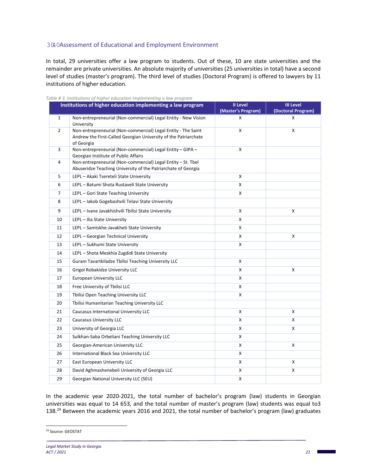# 1.2. Assessment of Educational and Employment Environment

In total, 29 universities offer a law program to students. Out of these, 10 are state universities and the remainder are private universities. An absolute majority of universities (25 universities in total) have a second level of studies (master's program). The third level of studies (Doctoral Program) is offered to lawyers by 11 institutions of higher education.

|                | ubic # 3. mstitutions of inquer cuucution implementing a law program<br>Institutions of higher education implementing a law program            | <b>II Level</b><br>(Master's Program) | <b>III Level</b><br>(Doctoral Program) |
|----------------|------------------------------------------------------------------------------------------------------------------------------------------------|---------------------------------------|----------------------------------------|
| $\mathbf{1}$   | Non-entrepreneurial (Non-commercial) Legal Entity - New Vision<br>University                                                                   | X                                     | X                                      |
| $\overline{2}$ | Non-entrepreneurial (Non-commercial) Legal Entity - The Saint<br>Andrew the First-Called Georgian University of the Patriarchate<br>of Georgia | X                                     | X                                      |
| 3              | Non-entrepreneurial (Non-commercial) Legal Entity - GIPA -<br>Georgian Institute of Public Affairs                                             | X                                     |                                        |
| 4              | Non-entrepreneurial (Non-commercial) Legal Entity - St. Tbel<br>Abuseridze Teaching University of the Patriarchate of Georgia                  |                                       |                                        |
| 5              | LEPL - Akaki Tsereteli State University                                                                                                        | X                                     |                                        |
| 6              | LEPL - Batumi Shota Rustaveli State University                                                                                                 | X                                     |                                        |
| $\overline{7}$ | LEPL - Gori State Teaching University                                                                                                          | X                                     |                                        |
| 8              | LEPL - lakob Gogebashvili Telavi State University                                                                                              |                                       |                                        |
| 9              | LEPL - Ivane Javakhishvili Tbilisi State University                                                                                            | X                                     | X                                      |
| 10             | LEPL - Ilia State University                                                                                                                   | X                                     |                                        |
| 11             | LEPL - Samtskhe-Javakheti State University                                                                                                     | Χ                                     |                                        |
| 12             | LEPL - Georgian Technical University                                                                                                           | x                                     | X                                      |
| 13             | LEPL - Sukhumi State University                                                                                                                | X                                     |                                        |
| 14             | LEPL - Shota Meskhia Zugdidi State University                                                                                                  |                                       |                                        |
| 15             | Guram Tavartkiladze Tbilisi Teaching University LLC                                                                                            | X                                     |                                        |
| 16             | Grigol Robakidze University LLC                                                                                                                | X                                     | Χ                                      |
| 17             | <b>European University LLC</b>                                                                                                                 | x                                     |                                        |
| 18             | Free University of Tbilisi LLC                                                                                                                 | X                                     |                                        |
| 19             | Tbilisi Open Teaching University LLC                                                                                                           | x                                     |                                        |
| 20             | Tbilisi Humanitarian Teaching University LLC                                                                                                   |                                       |                                        |
| 21             | Caucasus International University LLC                                                                                                          | x                                     | X                                      |
| 22             | <b>Caucasus University LLC</b>                                                                                                                 | x                                     | X                                      |
| 23             | University of Georgia LLC                                                                                                                      | x                                     | X                                      |
| 24             | Sulkhan-Saba Orbeliani Teaching University LLC                                                                                                 | x                                     |                                        |
| 25             | Georgian-American University LLC                                                                                                               | X                                     | X                                      |
| 26             | International Black Sea University LLC                                                                                                         | x                                     |                                        |
| 27             | East European University LLC                                                                                                                   | X                                     | X                                      |
| 28             | David Aghmashenebeli University of Georgia LLC                                                                                                 | X                                     | $\mathsf X$                            |
| 29             | Georgian National University LLC (SEU)                                                                                                         | x                                     |                                        |

*Table # 3. Institutions of higher education implementing a law program* 

In the academic year 2020-2021, the total number of bachelor's program (law) students in Georgian universities was equal to 14 653, and the total number of master's program (law) students was equal to3 138.<sup>29</sup> Between the academic years 2016 and 2021, the total number of bachelor's program (law) graduates

 $\overline{a}$ 29 Source: GEOSTAT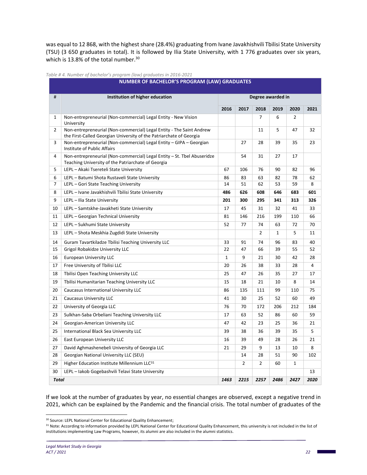was equal to 12 868, with the highest share (28.4%) graduating from Ivane Javakhishvili Tbilisi State University (TSU) (3 650 graduates in total). It is followed by Ilia State University, with 1 776 graduates over six years, which is 13.8% of the total number.<sup>30</sup>

|                | <b>NUMBER OF BACHELOR'S PROGRAM (LAW) GRADUATES</b>                                                                                         |      |                |                |                   |              |      |
|----------------|---------------------------------------------------------------------------------------------------------------------------------------------|------|----------------|----------------|-------------------|--------------|------|
| #              | Institution of higher education                                                                                                             |      |                |                | Degree awarded in |              |      |
|                |                                                                                                                                             | 2016 | 2017           | 2018           | 2019              | 2020         | 2021 |
| $\mathbf{1}$   | Non-entrepreneurial (Non-commercial) Legal Entity - New Vision<br>University                                                                |      |                | $\overline{7}$ | 6                 | 2            |      |
| $\overline{2}$ | Non-entrepreneurial (Non-commercial) Legal Entity - The Saint Andrew<br>the First-Called Georgian University of the Patriarchate of Georgia |      |                | 11             | 5                 | 47           | 32   |
| 3              | Non-entrepreneurial (Non-commercial) Legal Entity - GIPA - Georgian<br>Institute of Public Affairs                                          |      | 27             | 28             | 39                | 35           | 23   |
| 4              | Non-entrepreneurial (Non-commercial) Legal Entity - St. Tbel Abuseridze<br>Teaching University of the Patriarchate of Georgia               |      | 54             | 31             | 27                | 17           |      |
| 5              | LEPL - Akaki Tsereteli State University                                                                                                     | 67   | 106            | 76             | 90                | 82           | 96   |
| 6              | LEPL - Batumi Shota Rustaveli State University                                                                                              | 86   | 83             | 63             | 82                | 78           | 62   |
| 7              | LEPL - Gori State Teaching University                                                                                                       | 14   | 51             | 62             | 53                | 59           | 8    |
| 8              | LEPL - Ivane Javakhishvili Tbilisi State University                                                                                         | 486  | 626            | 608            | 646               | 683          | 601  |
| 9              | LEPL - Ilia State University                                                                                                                | 201  | 300            | 295            | 341               | 313          | 326  |
| 10             | LEPL - Samtskhe-Javakheti State University                                                                                                  | 17   | 45             | 31             | 32                | 41           | 33   |
| 11             | LEPL - Georgian Technical University                                                                                                        | 81   | 146            | 216            | 199               | 110          | 66   |
| 12             | LEPL - Sukhumi State University                                                                                                             | 52   | 77             | 74             | 63                | 72           | 70   |
| 13             | LEPL - Shota Meskhia Zugdidi State University                                                                                               |      |                | $\overline{2}$ | $\mathbf{1}$      | 5            | 11   |
| 14             | Guram Tavartkiladze Tbilisi Teaching University LLC                                                                                         | 33   | 91             | 74             | 96                | 83           | 40   |
| 15             | Grigol Robakidze University LLC                                                                                                             | 22   | 47             | 66             | 39                | 55           | 52   |
| 16             | European University LLC                                                                                                                     | 1    | 9              | 21             | 30                | 42           | 28   |
| 17             | Free University of Tbilisi LLC                                                                                                              | 20   | 26             | 38             | 33                | 28           | 4    |
| 18             | Tbilisi Open Teaching University LLC                                                                                                        | 25   | 47             | 26             | 35                | 27           | 17   |
| 19             | Tbilisi Humanitarian Teaching University LLC                                                                                                | 15   | 18             | 21             | 10                | 8            | 14   |
| 20             | Caucasus International University LLC                                                                                                       | 86   | 135            | 111            | 99                | 110          | 75   |
| 21             | Caucasus University LLC                                                                                                                     | 41   | 30             | 25             | 52                | 60           | 49   |
| 22             | University of Georgia LLC                                                                                                                   | 76   | 70             | 172            | 206               | 212          | 184  |
| 23             | Sulkhan-Saba Orbeliani Teaching University LLC                                                                                              | 17   | 63             | 52             | 86                | 60           | 59   |
| 24             | Georgian-American University LLC                                                                                                            | 47   | 42             | 23             | 25                | 36           | 21   |
| 25             | International Black Sea University LLC                                                                                                      | 39   | 38             | 36             | 39                | 35           | 5    |
| 26             | East European University LLC                                                                                                                | 16   | 39             | 49             | 28                | 26           | 21   |
| 27             | David Aghmashenebeli University of Georgia LLC                                                                                              | 21   | 29             | 9              | 13                | 10           | 8    |
| 28             | Georgian National University LLC (SEU)                                                                                                      |      | 14             | 28             | 51                | 90           | 102  |
| 29             | Higher Education Institute Millennium LLC31                                                                                                 |      | $\overline{2}$ | $\overline{2}$ | 60                | $\mathbf{1}$ |      |
| 30             | LEPL - lakob Gogebashvili Telavi State University                                                                                           |      |                |                |                   |              | 13   |
| Total          |                                                                                                                                             | 1463 | 2215           | 2257           | 2486              | 2427         | 2020 |

|  | Table #4. Number of bachelor's program (law) graduates in 2016-2021 |  |
|--|---------------------------------------------------------------------|--|
|  |                                                                     |  |

If we look at the number of graduates by year, no essential changes are observed, except a negative trend in 2021, which can be explained by the Pandemic and the financial crisis. The total number of graduates of the

 <sup>30</sup> Source: LEPL National Center for Educational Quality Enhancement;

<sup>&</sup>lt;sup>31</sup> Note: According to information provided by LEPL National Center for Educational Quality Enhancement, this university is not included in the list of institutions implementing Law Programs, however, its alumni are also included in the alumni statistics.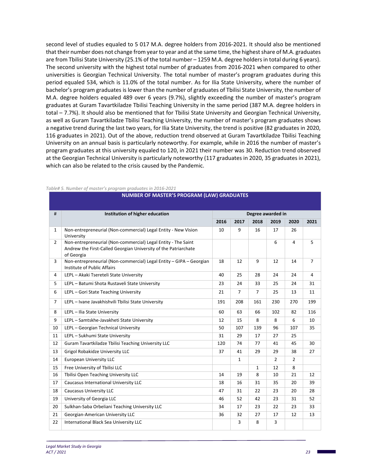second level of studies equaled to 5 017 M.A. degree holders from 2016‐2021. It should also be mentioned that their number does not change from year to year and at the same time, the highest share of M.A. graduates are from Tbilisi State University (25.1% of the total number – 1259 M.A. degree holders in total during 6 years). The second university with the highest total number of graduates from 2016‐2021 when compared to other universities is Georgian Technical University. The total number of master's program graduates during this period equaled 534, which is 11.0% of the total number. As for Ilia State University, where the number of bachelor's program graduates is lower than the number of graduates of Tbilisi State University, the number of M.A. degree holders equaled 489 over 6 years (9.7%), slightly exceeding the number of master's program graduates at Guram Tavartkiladze Tbilisi Teaching University in the same period (387 M.A. degree holders in total – 7.7%). It should also be mentioned that for Tbilisi State University and Georgian Technical University, as well as Guram Tavartkiladze Tbilisi Teaching University, the number of master's program graduates shows a negative trend during the last two years, for Ilia State University, the trend is positive (82 graduates in 2020, 116 graduates in 2021). Out of the above, reduction trend observed at Guram Tavartkiladze Tbilisi Teaching University on an annual basis is particularly noteworthy. For example, while in 2016 the number of master's program graduates at this university equaled to 120, in 2021 their number was 30. Reduction trend observed at the Georgian Technical University is particularly noteworthy (117 graduates in 2020, 35 graduates in 2021), which can also be related to the crisis caused by the Pandemic.

**NUMBER OF MASTER'S PROGRAM (LAW) GRADUATES**

| #              | Institution of higher education                                                                                                                |      |      | Degree awarded in |                |                |                |
|----------------|------------------------------------------------------------------------------------------------------------------------------------------------|------|------|-------------------|----------------|----------------|----------------|
|                |                                                                                                                                                | 2016 | 2017 | 2018              | 2019           | 2020           | 2021           |
| $\mathbf{1}$   | Non-entrepreneurial (Non-commercial) Legal Entity - New Vision<br>University                                                                   | 10   | 9    | 16                | 17             | 26             |                |
| $\overline{2}$ | Non-entrepreneurial (Non-commercial) Legal Entity - The Saint<br>Andrew the First-Called Georgian University of the Patriarchate<br>of Georgia |      |      |                   | 6              | 4              | 5              |
| 3              | Non-entrepreneurial (Non-commercial) Legal Entity - GIPA - Georgian<br>Institute of Public Affairs                                             | 18   | 12   | 9                 | 12             | 14             | $\overline{7}$ |
| 4              | LEPL - Akaki Tsereteli State University                                                                                                        | 40   | 25   | 28                | 24             | 24             | 4              |
| 5              | LEPL - Batumi Shota Rustaveli State University                                                                                                 | 23   | 24   | 33                | 25             | 24             | 31             |
| 6              | LEPL - Gori State Teaching University                                                                                                          | 21   | 7    | $\overline{7}$    | 25             | 13             | 11             |
| $\overline{7}$ | LEPL - Ivane Javakhishvili Tbilisi State University                                                                                            | 191  | 208  | 161               | 230            | 270            | 199            |
| 8              | LEPL - Ilia State University                                                                                                                   | 60   | 63   | 66                | 102            | 82             | 116            |
| 9              | LEPL - Samtskhe-Javakheti State University                                                                                                     | 12   | 15   | 8                 | 8              | 6              | 10             |
| 10             | LEPL - Georgian Technical University                                                                                                           | 50   | 107  | 139               | 96             | 107            | 35             |
| 11             | LEPL - Sukhumi State University                                                                                                                | 31   | 29   | 17                | 27             | 25             |                |
| 12             | Guram Tavartkiladze Tbilisi Teaching University LLC                                                                                            | 120  | 74   | 77                | 41             | 45             | 30             |
| 13             | Grigol Robakidze University LLC                                                                                                                | 37   | 41   | 29                | 29             | 38             | 27             |
| 14             | European University LLC                                                                                                                        |      | 1    |                   | $\overline{2}$ | $\overline{2}$ |                |
| 15             | Free University of Tbilisi LLC                                                                                                                 |      |      | 1                 | 12             | 8              |                |
| 16             | Tbilisi Open Teaching University LLC                                                                                                           | 14   | 19   | 8                 | 10             | 21             | 12             |
| 17             | Caucasus International University LLC                                                                                                          | 18   | 16   | 31                | 35             | 20             | 39             |
| 18             | Caucasus University LLC                                                                                                                        | 47   | 31   | 22                | 23             | 20             | 28             |
| 19             | University of Georgia LLC                                                                                                                      | 46   | 52   | 42                | 23             | 31             | 52             |
| 20             | Sulkhan-Saba Orbeliani Teaching University LLC                                                                                                 | 34   | 17   | 23                | 22             | 23             | 33             |
| 21             | Georgian-American University LLC                                                                                                               | 36   | 32   | 27                | 17             | 12             | 13             |
| 22             | International Black Sea University LLC                                                                                                         |      | 3    | 8                 | 3              |                |                |

#### *Table# 5. Number of master's program graduates in 2016‐2021*

#### *Legal Market Study in Georgia*   $ACT / 2021$  23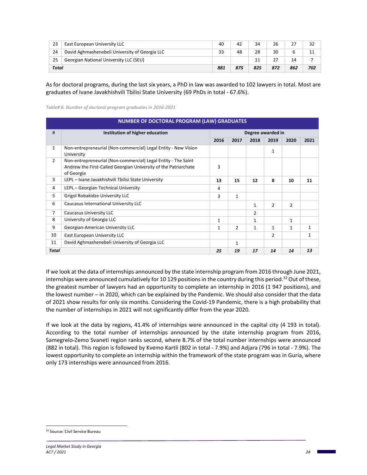| 23    | East European University LLC                   | 40  | 42  | 34  | 26  | 27  | 32  |
|-------|------------------------------------------------|-----|-----|-----|-----|-----|-----|
| 24    | David Aghmashenebeli University of Georgia LLC | 33  | 48  | 28  | 30  |     |     |
| 25    | Georgian National University LLC (SEU)         |     |     |     |     | 14  |     |
| Total |                                                | 881 | 875 | 825 | 872 | 862 | 702 |

As for doctoral programs, during the last six years, a PhD in law was awarded to 102 lawyers in total. Most are graduates of Ivane Javakhishvili Tbilisi State University (69 PhDs in total ‐ 67.6%).

*Table# 6. Number of doctoral program graduates in 2016‐2021* 

|                | <b>NUMBER OF DOCTORAL PROGRAM (LAW) GRADUATES</b>                                                                                              |              |                |                |                   |                |              |
|----------------|------------------------------------------------------------------------------------------------------------------------------------------------|--------------|----------------|----------------|-------------------|----------------|--------------|
| #              | Institution of higher education                                                                                                                |              |                |                | Degree awarded in |                |              |
|                |                                                                                                                                                | 2016         | 2017           | 2018           | 2019              | 2020           | 2021         |
| $\mathbf{1}$   | Non-entrepreneurial (Non-commercial) Legal Entity - New Vision<br>University                                                                   |              |                |                | 1                 |                |              |
| $\overline{2}$ | Non-entrepreneurial (Non-commercial) Legal Entity - The Saint<br>Andrew the First-Called Georgian University of the Patriarchate<br>of Georgia | 3            |                |                |                   |                |              |
| 3              | LEPL - Ivane Javakhishvili Tbilisi State University                                                                                            | 13           | 15             | 12             | 8                 | 10             | 11           |
| 4              | LEPL - Georgian Technical University                                                                                                           | 4            |                |                |                   |                |              |
| 5              | Grigol Robakidze University LLC                                                                                                                | 3            | $\mathbf{1}$   |                |                   |                |              |
| 6              | Caucasus International University LLC                                                                                                          |              |                | 1              | $\overline{2}$    | $\overline{2}$ |              |
| 7              | Caucasus University LLC                                                                                                                        |              |                | $\overline{2}$ |                   |                |              |
| 8              | University of Georgia LLC                                                                                                                      | 1            |                | $\mathbf{1}$   |                   | 1              |              |
| 9              | Georgian-American University LLC                                                                                                               | $\mathbf{1}$ | $\overline{2}$ | $\mathbf{1}$   | $\mathbf{1}$      | 1              | 1            |
| 10             | East European University LLC                                                                                                                   |              |                |                | 2                 |                | $\mathbf{1}$ |
| 11             | David Aghmashenebeli University of Georgia LLC                                                                                                 |              | $\mathbf{1}$   |                |                   |                |              |
| Total          |                                                                                                                                                | 25           | 19             | 17             | 14                | 14             | 13           |

If we look at the data of internships announced by the state internship program from 2016 through June 2021, internships were announced cumulatively for 10 129 positions in the country during this period.<sup>32</sup> Out of these, the greatest number of lawyers had an opportunity to complete an internship in 2016 (1 947 positions), and the lowest number – in 2020, which can be explained by the Pandemic. We should also consider that the data of 2021 show results for only six months. Considering the Covid‐19 Pandemic, there is a high probability that the number of internships in 2021 will not significantly differ from the year 2020.

If we look at the data by regions, 41.4% of internships were announced in the capital city (4 193 in total). According to the total number of internships announced by the state internship program from 2016, Samegrelo‐Zemo Svaneti region ranks second, where 8.7% of the total number internships were announced (882 in total). This region is followed by Kvemo Kartli (802 in total ‐ 7.9%) and Adjara (796 in total ‐ 7.9%). The lowest opportunity to complete an internship within the framework of the state program was in Guria, where only 173 internships were announced from 2016.

 $\overline{a}$ 32 Source: Civil Service Bureau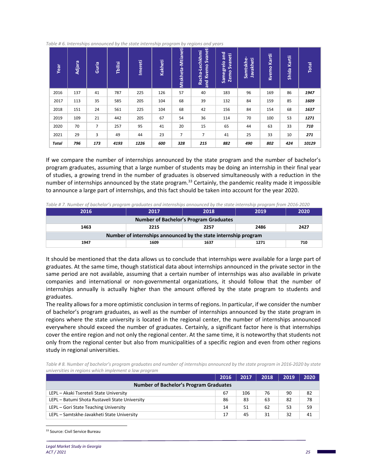*Table # 6. Internships announced by the state internship program by regions and years* 

| Year         | <b>Adjara</b> | Guria          | Tbilisi | <b>Imereti</b> | Kakheti | Mtskheta-Mtianeti | and Kvemo Svaneti<br>Racha-Lechkhmi | Samegrelo and<br>Svaneti<br>Zemo | Samtskhe-<br><b>Javakheti</b> | Kartli<br>Kvemo | Shida Kartli | <b>Total</b> |
|--------------|---------------|----------------|---------|----------------|---------|-------------------|-------------------------------------|----------------------------------|-------------------------------|-----------------|--------------|--------------|
| 2016         | 137           | 41             | 787     | 225            | 126     | 57                | 40                                  | 183                              | 96                            | 169             | 86           | 1947         |
| 2017         | 113           | 35             | 585     | 205            | 104     | 68                | 39                                  | 132                              | 84                            | 159             | 85           | 1609         |
| 2018         | 151           | 24             | 561     | 225            | 104     | 68                | 42                                  | 156                              | 84                            | 154             | 68           | 1637         |
| 2019         | 109           | 21             | 442     | 205            | 67      | 54                | 36                                  | 114                              | 70                            | 100             | 53           | 1271         |
| 2020         | 70            | $\overline{7}$ | 257     | 95             | 41      | 20                | 15                                  | 65                               | 44                            | 63              | 33           | 710          |
| 2021         | 29            | 3              | 49      | 44             | 23      | $\overline{7}$    | $\overline{7}$                      | 41                               | 25                            | 33              | 10           | 271          |
| <b>Total</b> | 796           | 173            | 4193    | 1226           | 600     | 328               | 215                                 | 882                              | 490                           | 802             | 424          | 10129        |

If we compare the number of internships announced by the state program and the number of bachelor's program graduates, assuming that a large number of students may be doing an internship in their final year of studies, a growing trend in the number of graduates is observed simultaneously with a reduction in the number of internships announced by the state program.<sup>33</sup> Certainly, the pandemic reality made it impossible to announce a large part of internships, and this fact should be taken into account for the year 2020.

| Table #7. Number of bachelor's program graduates and internships announced by the state internship program from 2016-2020 |
|---------------------------------------------------------------------------------------------------------------------------|
|---------------------------------------------------------------------------------------------------------------------------|

| 2016                                                            | 2017 | 2018 | 2019 | 2020 |  |  |  |
|-----------------------------------------------------------------|------|------|------|------|--|--|--|
| <b>Number of Bachelor's Program Graduates</b>                   |      |      |      |      |  |  |  |
| 1463                                                            | 2215 | 2257 | 2486 | 2427 |  |  |  |
| Number of internships announced by the state internship program |      |      |      |      |  |  |  |
| 1947                                                            | 1609 | 1637 | 1271 | 710  |  |  |  |

It should be mentioned that the data allows us to conclude that internships were available for a large part of graduates. At the same time, though statistical data about internships announced in the private sector in the same period are not available, assuming that a certain number of internships was also available in private companies and international or non‐governmental organizations, it should follow that the number of internships annually is actually higher than the amount offered by the state program to students and graduates.

The reality allows for a more optimistic conclusion in terms of regions. In particular, if we consider the number of bachelor's program graduates, as well as the number of internships announced by the state program in regions where the state university is located in the regional center, the number of internships announced everywhere should exceed the number of graduates. Certainly, a significant factor here is that internships cover the entire region and not only the regional center. At the same time, it is noteworthy that students not only from the regional center but also from municipalities of a specific region and even from other regions study in regional universities.

*Table # 8. Number of bachelor's program graduates and number of internships announced by the state program in 2016‐2020 by state universities in regions which implement a law program*

|                                                | 2016 | 2017 | 2018 | 2019 | 2020 |
|------------------------------------------------|------|------|------|------|------|
| <b>Number of Bachelor's Program Graduates</b>  |      |      |      |      |      |
| LEPL - Akaki Tsereteli State University        | 67   | 106  | 76   | 90   | 82   |
| LEPL - Batumi Shota Rustaveli State University | 86   | 83   | 63   | 82   | 78   |
| LEPL - Gori State Teaching University          | 14   | 51   | 62   | 53   | 59   |
| LEPL - Samtskhe-Javakheti State University     | 17   | 45   | 31   | 32   | 41   |

<sup>33</sup> Source: Civil Service Bureau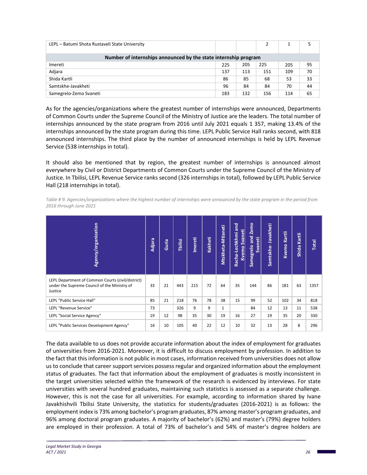| LEPL - Batumi Shota Rustaveli State University                  |     |     |     |     |    |  |  |
|-----------------------------------------------------------------|-----|-----|-----|-----|----|--|--|
| Number of internships announced by the state internship program |     |     |     |     |    |  |  |
| Imereti                                                         | 225 | 205 | 225 | 205 | 95 |  |  |
| Adjara                                                          | 137 | 113 | 151 | 109 | 70 |  |  |
| Shida Kartli                                                    | 86  | 85  | 68  | 53  | 33 |  |  |
| Samtskhe-Javakheti                                              | 96  | 84  | 84  | 70  | 44 |  |  |
| Samegrelo-Zemo Svaneti                                          | 183 | 132 | 156 | 114 | 65 |  |  |

As for the agencies/organizations where the greatest number of internships were announced, Departments of Common Courts under the Supreme Council of the Ministry of Justice are the leaders. The total number of internships announced by the state program from 2016 until July 2021 equals 1 357, making 13.4% of the internships announced by the state program during this time. LEPL Public Service Hall ranks second, with 818 announced internships. The third place by the number of announced internships is held by LEPL Revenue Service (538 internships in total).

It should also be mentioned that by region, the greatest number of internships is announced almost everywhere by Civil or District Departments of Common Courts under the Supreme Council of the Ministry of Justice. In Tbilisi, LEPL Revenue Service ranks second (326 internships in total), followed by LEPL Public Service Hall (218 internships in total).

*Table # 9. Agencies/organizations where the highest number of internships were announced by the state program in the period from 2016 through June 2021* 

| Agency/organization                                                                                          | Adjara | Guria | <b>Tbilisi</b> | <b>Imereti</b> | Kakheti | Mtskheta-Mtianeti | Racha-Lechkhmi and<br><b>Kvemo Svaneti</b> | <b>Zemo</b><br>Samegrelo and<br><b>Svaneti</b> | Javakheti<br>Samtskhe- | Kartli<br>Kvemo | Shida Kartli | <b>Total</b> |
|--------------------------------------------------------------------------------------------------------------|--------|-------|----------------|----------------|---------|-------------------|--------------------------------------------|------------------------------------------------|------------------------|-----------------|--------------|--------------|
| LEPL Department of Common Courts (civil/district)<br>under the Supreme Council of the Ministry of<br>Justice | 33     | 21    | 443            | 215            | 72      | 64                | 35                                         | 144                                            | 86                     | 181             | 63           | 1357         |
| LEPL "Public Service Hall"                                                                                   | 85     | 21    | 218            | 76             | 78      | 38                | 15                                         | 99                                             | 52                     | 102             | 34           | 818          |
| LEPL "Revenue Service"                                                                                       | 73     |       | 326            | 9              | 9       | 1                 |                                            | 84                                             | 12                     | 13              | 11           | 538          |
| LEPL "Social Service Agency"                                                                                 | 19     | 12    | 98             | 35             | 30      | 19                | 16                                         | 27                                             | 19                     | 35              | 20           | 330          |
| LEPL "Public Services Development Agency"                                                                    | 16     | 10    | 105            | 40             | 22      | 12                | 10                                         | 32                                             | 13                     | 28              | 8            | 296          |

The data available to us does not provide accurate information about the index of employment for graduates of universities from 2016‐2021. Moreover, it is difficult to discuss employment by profession. In addition to the fact that this information is not public in most cases, information received from universities does not allow us to conclude that career support services possess regular and organized information about the employment status of graduates. The fact that information about the employment of graduates is mostly inconsistent in the target universities selected within the framework of the research is evidenced by interviews. For state universities with several hundred graduates, maintaining such statistics is assessed as a separate challenge. However, this is not the case for all universities. For example, according to information shared by Ivane Javakhishvili Tbilisi State University, the statistics for students/graduates (2016-2021) is as follows: the employment index is 73% among bachelor's program graduates, 87% among master's program graduates, and 96% among doctoral program graduates. A majority of bachelor's (62%) and master's (79%) degree holders are employed in their profession. A total of 73% of bachelor's and 54% of master's degree holders are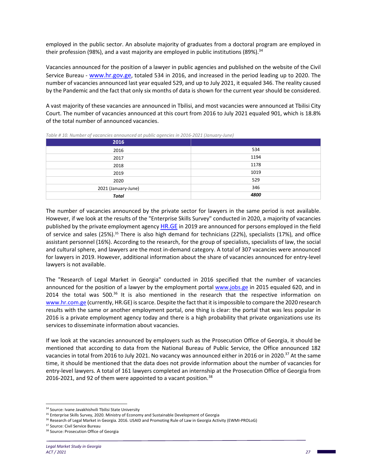employed in the public sector. An absolute majority of graduates from a doctoral program are employed in their profession (98%), and a vast majority are employed in public institutions (89%).<sup>34</sup>

Vacancies announced for the position of a lawyer in public agencies and published on the website of the Civil Service Bureau - www.hr.gov.ge, totaled 534 in 2016, and increased in the period leading up to 2020. The number of vacancies announced last year equaled 529, and up to July 2021, it equaled 346. The reality caused by the Pandemic and the fact that only six months of data is shown for the current year should be considered.

A vast majority of these vacancies are announced in Tbilisi, and most vacancies were announced at Tbilisi City Court. The number of vacancies announced at this court from 2016 to July 2021 equaled 901, which is 18.8% of the total number of announced vacancies.

| 534  |
|------|
| 1194 |
| 1178 |
| 1019 |
| 529  |
| 346  |
| 4800 |
|      |

*Table # 10. Number of vacancies announced at public agencies in 2016‐2021 (January‐June)* 

The number of vacancies announced by the private sector for lawyers in the same period is not available. However, if we look at the results of the "Enterprise Skills Survey" conducted in 2020, a majority of vacancies published by the private employment agency HR.GE in 2019 are announced for persons employed in the field of service and sales  $(25%)$ .<sup>35</sup> There is also high demand for technicians  $(22%)$ , specialists  $(17%)$ , and office assistant personnel (16%). According to the research, for the group of specialists, specialists of law, the social and cultural sphere, and lawyers are the most in‐demand category. A total of 307 vacancies were announced for lawyers in 2019. However, additional information about the share of vacancies announced for entry‐level lawyers is not available.

The "Research of Legal Market in Georgia" conducted in 2016 specified that the number of vacancies announced for the position of a lawyer by the employment portal www.jobs.ge in 2015 equaled 620, and in 2014 the total was 500. $36$  It is also mentioned in the research that the respective information on www.hr.com.ge (currently, HR.GE) is scarce. Despite the fact that it is impossible to compare the 2020 research results with the same or another employment portal, one thing is clear: the portal that was less popular in 2016 is a private employment agency today and there is a high probability that private organizations use its services to disseminate information about vacancies.

If we look at the vacancies announced by employers such as the Prosecution Office of Georgia, it should be mentioned that according to data from the National Bureau of Public Service, the Office announced 182 vacancies in total from 2016 to July 2021. No vacancy was announced either in 2016 or in 2020.37 At the same time, it should be mentioned that the data does not provide information about the number of vacancies for entry‐level lawyers. A total of 161 lawyers completed an internship at the Prosecution Office of Georgia from 2016-2021, and 92 of them were appointed to a vacant position.<sup>38</sup>

<sup>34</sup> Source: Ivane Javakhishvili Tbilisi State University

<sup>&</sup>lt;sup>35</sup> Enterprise Skills Survey, 2020. Ministry of Economy and Sustainable Development of Georgia

<sup>&</sup>lt;sup>36</sup> Research of Legal Market in Georgia. 2016. USAID and Promoting Rule of Law in Georgia Activity (EWMI-PROLoG)

<sup>&</sup>lt;sup>37</sup> Source: Civil Service Bureau

<sup>38</sup> Source: Prosecution Office of Georgia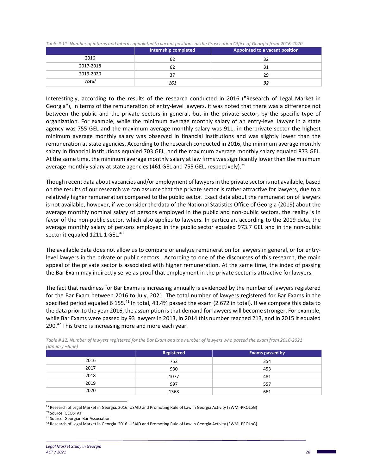|           | Internship completed | Appointed to a vacant position |  |  |  |  |
|-----------|----------------------|--------------------------------|--|--|--|--|
| 2016      | 62                   | 32                             |  |  |  |  |
| 2017-2018 | 62                   |                                |  |  |  |  |
| 2019-2020 | 37                   | 29                             |  |  |  |  |
| Total     | 161                  | 92                             |  |  |  |  |

*Table # 11. Number of interns and interns appointed to vacant positions at the Prosecution Office of Georgia from 2016‐2020* 

Interestingly, according to the results of the research conducted in 2016 ("Research of Legal Market in Georgia"), in terms of the remuneration of entry‐level lawyers, it was noted that there was a difference not between the public and the private sectors in general, but in the private sector, by the specific type of organization. For example, while the minimum average monthly salary of an entry-level lawyer in a state agency was 755 GEL and the maximum average monthly salary was 911, in the private sector the highest minimum average monthly salary was observed in financial institutions and was slightly lower than the remuneration at state agencies. According to the research conducted in 2016, the minimum average monthly salary in financial institutions equaled 703 GEL, and the maximum average monthly salary equaled 873 GEL. At the same time, the minimum average monthly salary at law firms was significantly lower than the minimum average monthly salary at state agencies (461 GEL and 755 GEL, respectively).<sup>39</sup>

Though recent data about vacancies and/or employment of lawyers in the private sector is not available, based on the results of our research we can assume that the private sector is rather attractive for lawyers, due to a relatively higher remuneration compared to the public sector. Exact data about the remuneration of lawyers is not available, however, if we consider the data of the National Statistics Office of Georgia (2019) about the average monthly nominal salary of persons employed in the public and non‐public sectors, the reality is in favor of the non-public sector, which also applies to lawyers. In particular, according to the 2019 data, the average monthly salary of persons employed in the public sector equaled 973.7 GEL and in the non-public sector it equaled 1211.1 GEL.<sup>40</sup>

The available data does not allow us to compare or analyze remuneration for lawyers in general, or for entry‐ level lawyers in the private or public sectors. According to one of the discourses of this research, the main appeal of the private sector is associated with higher remuneration. At the same time, the index of passing the Bar Exam may indirectly serve as proof that employment in the private sector is attractive for lawyers.

The fact that readiness for Bar Exams is increasing annually is evidenced by the number of lawyers registered for the Bar Exam between 2016 to July, 2021. The total number of lawyers registered for Bar Exams in the specified period equaled 6 155.<sup>41</sup> In total, 43.4% passed the exam (2 672 in total). If we compare this data to the data prior to the year 2016, the assumption is that demand for lawyers will become stronger. For example, while Bar Exams were passed by 93 lawyers in 2013, in 2014 this number reached 213, and in 2015 it equaled 290.<sup>42</sup> This trend is increasing more and more each year.

| $[J$ unuury $-J$ unc $J$ | Registered | Exams passed by |
|--------------------------|------------|-----------------|
| 2016                     | 752        | 354             |
| 2017                     | 930        | 453             |
| 2018                     | 1077       | 481             |
| 2019                     | 997        | 557             |
| 2020                     | 1368       | 661             |

*Table # 12. Number of lawyers registered for the Bar Exam and the number of lawyers who passed the exam from 2016‐2021 (January –June)*

 $\overline{a}$ <sup>39</sup> Research of Legal Market in Georgia. 2016. USAID and Promoting Rule of Law in Georgia Activity (EWMI-PROLoG)

<sup>40</sup> Source: GEOSTAT

<sup>41</sup> Source: Georgian Bar Association

<sup>42</sup> Research of Legal Market in Georgia. 2016. USAID and Promoting Rule of Law in Georgia Activity (EWMI‐PROLoG)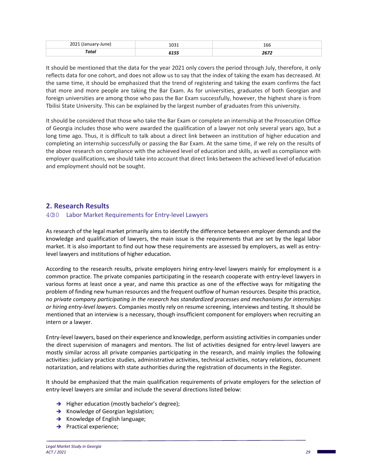| - - -<br>202 | ∸∽∽ | -<br>⊥br       |
|--------------|-----|----------------|
| Total        | --  | . <b>. .</b> . |

It should be mentioned that the data for the year 2021 only covers the period through July, therefore, it only reflects data for one cohort, and does not allow us to say that the index of taking the exam has decreased. At the same time, it should be emphasized that the trend of registering and taking the exam confirms the fact that more and more people are taking the Bar Exam. As for universities, graduates of both Georgian and foreign universities are among those who pass the Bar Exam successfully, however, the highest share is from Tbilisi State University. This can be explained by the largest number of graduates from this university.

It should be considered that those who take the Bar Exam or complete an internship at the Prosecution Office of Georgia includes those who were awarded the qualification of a lawyer not only several years ago, but a long time ago. Thus, it is difficult to talk about a direct link between an institution of higher education and completing an internship successfully or passing the Bar Exam. At the same time, if we rely on the results of the above research on compliance with the achieved level of education and skills, as well as compliance with employer qualifications, we should take into account that direct links between the achieved level of education and employment should not be sought.

# **2. Research Results**

# 4080 Labor Market Requirements for Entry-level Lawyers

As research of the legal market primarily aims to identify the difference between employer demands and the knowledge and qualification of lawyers, the main issue is the requirements that are set by the legal labor market. It is also important to find out how these requirements are assessed by employers, as well as entry‐ level lawyers and institutions of higher education.

According to the research results, private employers hiring entry‐level lawyers mainly for employment is a common practice. The private companies participating in the research cooperate with entry-level lawyers in various forms at least once a year, and name this practice as one of the effective ways for mitigating the problem of finding new human resources and the frequent outflow of human resources. Despite this practice, *no private company participating in the research has standardized processes and mechanisms for internships or hiring entry‐level lawyers.* Companies mostly rely on resume screening, interviews and testing. It should be mentioned that an interview is a necessary, though insufficient component for employers when recruiting an intern or a lawyer.

Entry‐level lawyers, based on their experience and knowledge, perform assisting activities in companies under the direct supervision of managers and mentors. The list of activities designed for entry-level lawyers are mostly similar across all private companies participating in the research, and mainly implies the following activities: judiciary practice studies, administrative activities, technical activities, notary relations, document notarization, and relations with state authorities during the registration of documents in the Register.

It should be emphasized that the main qualification requirements of private employers for the selection of entry‐level lawyers are similar and include the several directions listed below:

- $\rightarrow$  Higher education (mostly bachelor's degree);
- $\rightarrow$  Knowledge of Georgian legislation;
- $\rightarrow$  Knowledge of English language;
- $\rightarrow$  Practical experience;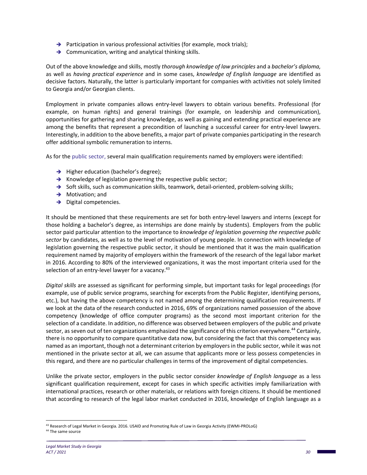- $\rightarrow$  Participation in various professional activities (for example, mock trials);
- $\rightarrow$  Communication, writing and analytical thinking skills.

Out of the above knowledge and skills, mostly *thorough knowledge of law principles* and a *bachelor's diploma,*  as well as *having practical experience* and in some cases, *knowledge of English language* are identified as decisive factors. Naturally, the latter is particularly important for companies with activities not solely limited to Georgia and/or Georgian clients.

Employment in private companies allows entry‐level lawyers to obtain various benefits. Professional (for example, on human rights) and general trainings (for example, on leadership and communication), opportunities for gathering and sharing knowledge, as well as gaining and extending practical experience are among the benefits that represent a precondition of launching a successful career for entry-level lawyers. Interestingly, in addition to the above benefits, a major part of private companies participating in the research offer additional symbolic remuneration to interns.

As for the public sector, several main qualification requirements named by employers were identified:

- $\rightarrow$  Higher education (bachelor's degree);
- $\rightarrow$  Knowledge of legislation governing the respective public sector;
- → Soft skills, such as communication skills, teamwork, detail-oriented, problem-solving skills;
- $\rightarrow$  Motivation; and
- $\rightarrow$  Digital competencies.

It should be mentioned that these requirements are set for both entry-level lawyers and interns (except for those holding a bachelor's degree, as internships are done mainly by students). Employers from the public sector paid particular attention to the importance to *knowledge of legislation governing the respective public sector* by candidates, as well as to the level of motivation of young people. In connection with knowledge of legislation governing the respective public sector, it should be mentioned that it was the main qualification requirement named by majority of employers within the framework of the research of the legal labor market in 2016. According to 80% of the interviewed organizations, it was the most important criteria used for the selection of an entry-level lawyer for a vacancy.<sup>43</sup>

*Digital skills* are assessed as significant for performing simple, but important tasks for legal proceedings (for example, use of public service programs, searching for excerpts from the Public Register, identifying persons, etc.), but having the above competency is not named among the determining qualification requirements. If we look at the data of the research conducted in 2016, 69% of organizations named possession of the above competency (knowledge of office computer programs) as the second most important criterion for the selection of a candidate. In addition, no difference was observed between employers of the public and private sector, as seven out of ten organizations emphasized the significance of this criterion everywhere.<sup>44</sup> Certainly, there is no opportunity to compare quantitative data now, but considering the fact that this competency was named as an important, though not a determinant criterion by employers in the public sector, while it was not mentioned in the private sector at all, we can assume that applicants more or less possess competencies in this regard, and there are no particular challenges in terms of the improvement of digital competencies.

Unlike the private sector, employers in the public sector consider *knowledge of English language* as a less significant qualification requirement, except for cases in which specific activities imply familiarization with international practices, research or other materials, or relations with foreign citizens. It should be mentioned that according to research of the legal labor market conducted in 2016, knowledge of English language as a

<sup>43</sup> Research of Legal Market in Georgia. 2016. USAID and Promoting Rule of Law in Georgia Activity (EWMI-PROLoG) 44 The same source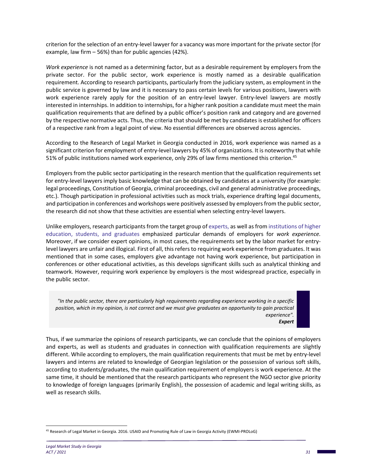criterion for the selection of an entry‐level lawyer for a vacancy was more important for the private sector (for example, law firm – 56%) than for public agencies (42%).

*Work experience* is not named as a determining factor, but as a desirable requirement by employers from the private sector. For the public sector, work experience is mostly named as a desirable qualification requirement. According to research participants, particularly from the judiciary system, as employment in the public service is governed by law and it is necessary to pass certain levels for various positions, lawyers with work experience rarely apply for the position of an entry-level lawyer. Entry-level lawyers are mostly interested in internships. In addition to internships, for a higher rank position a candidate must meet the main qualification requirements that are defined by a public officer's position rank and category and are governed by the respective normative acts. Thus, the criteria that should be met by candidates is established for officers of a respective rank from a legal point of view. No essential differences are observed across agencies.

According to the Research of Legal Market in Georgia conducted in 2016, work experience was named as a significant criterion for employment of entry-level lawyers by 45% of organizations. It is noteworthy that while 51% of public institutions named work experience, only 29% of law firms mentioned this criterion.<sup>45</sup>

Employers from the public sector participating in the research mention that the qualification requirements set for entry-level lawyers imply basic knowledge that can be obtained by candidates at a university (for example: legal proceedings, Constitution of Georgia, criminal proceedings, civil and general administrative proceedings, etc.). Though participation in professional activities such as mock trials, experience drafting legal documents, and participation in conferences and workshops were positively assessed by employers from the public sector, the research did not show that these activities are essential when selecting entry‐level lawyers.

Unlike employers, research participants from the target group of experts, as well as from institutions of higher education, students, and graduates emphasized particular demands of employers for *work experience.*  Moreover, if we consider expert opinions, in most cases, the requirements set by the labor market for entry‐ level lawyers are unfair and illogical. First of all, this refers to requiring work experience from graduates. It was mentioned that in some cases, employers give advantage not having work experience, but participation in conferences or other educational activities, as this develops significant skills such as analytical thinking and teamwork. However, requiring work experience by employers is the most widespread practice, especially in the public sector.

*"In the public sector, there are particularly high requirements regarding experience working in a specific position, which in my opinion, is not correct and we must give graduates an opportunity to gain practical experience". Expert* 

Thus, if we summarize the opinions of research participants, we can conclude that the opinions of employers and experts, as well as students and graduates in connection with qualification requirements are slightly different. While according to employers, the main qualification requirements that must be met by entry‐level lawyers and interns are related to knowledge of Georgian legislation or the possession of various soft skills, according to students/graduates, the main qualification requirement of employers is work experience. At the same time, it should be mentioned that the research participants who represent the NGO sector give priority to knowledge of foreign languages (primarily English), the possession of academic and legal writing skills, as well as research skills.

<sup>45</sup> Research of Legal Market in Georgia. 2016. USAID and Promoting Rule of Law in Georgia Activity (EWMI‐PROLoG)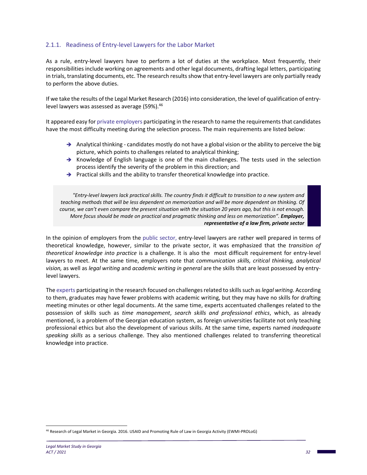# 2.1.1. Readiness of Entry‐level Lawyers for the Labor Market

As a rule, entry-level lawyers have to perform a lot of duties at the workplace. Most frequently, their responsibilities include working on agreements and other legal documents, drafting legal letters, participating in trials, translating documents, etc. The research results show that entry‐level lawyers are only partially ready to perform the above duties.

If we take the results of the Legal Market Research (2016) into consideration, the level of qualification of entry‐ level lawyers was assessed as average (59%).<sup>46</sup>

It appeared easy for private employers participating in the research to name the requirements that candidates have the most difficulty meeting during the selection process. The main requirements are listed below:

- Analytical thinking candidates mostly do not have a global vision or the ability to perceive the big picture, which points to challenges related to analytical thinking;
- $\rightarrow$  Knowledge of English language is one of the main challenges. The tests used in the selection process identify the severity of the problem in this direction; and
- $\rightarrow$  Practical skills and the ability to transfer theoretical knowledge into practice.

*"Entry‐level lawyers lack practical skills. The country finds it difficult to transition to a new system and teaching methods that will be less dependent on memorization and will be more dependent on thinking. Of course, we can't even compare the present situation with the situation 20 years ago, but this is not enough. More focus should be made on practical and pragmatic thinking and less on memorization". Employer, representative of a law firm, private sector* 

In the opinion of employers from the public sector, entry-level lawyers are rather well prepared in terms of theoretical knowledge, however, similar to the private sector, it was emphasized that the *transition of theoretical knowledge into practice* is a challenge. It is also the most difficult requirement for entry‐level lawyers to meet. At the same time, employers note that *communication skills, critical thinking, analytical vision,* as well as *legal writing* and *academic writing in general* are the skills that are least possessed by entry‐ level lawyers.

The experts participating in the research focused on challenges related to skills such as *legal writing.* According to them, graduates may have fewer problems with academic writing, but they may have no skills for drafting meeting minutes or other legal documents. At the same time, experts accentuated challenges related to the possession of skills such as *time management*, *search skills and professional ethics*, which, as already mentioned, is a problem of the Georgian education system, as foreign universities facilitate not only teaching professional ethics but also the development of various skills. At the same time, experts named *inadequate speaking skills* as a serious challenge. They also mentioned challenges related to transferring theoretical knowledge into practice.

<sup>46</sup> Research of Legal Market in Georgia. 2016. USAID and Promoting Rule of Law in Georgia Activity (EWMI‐PROLoG)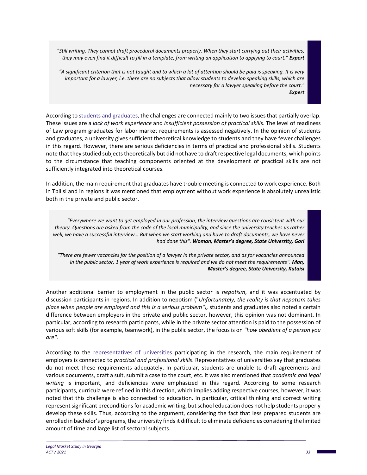*"Still writing. They cannot draft procedural documents properly. When they start carrying out their activities, they may even find it difficult to fill in a template, from writing an application to applying to court." Expert* 

*"A significant criterion that is not taught and to which a lot of attention should be paid is speaking. It is very important for a lawyer, i.e. there are no subjects that allow students to develop speaking skills, which are necessary for a lawyer speaking before the court." Expert*

According to students and graduates, the challenges are connected mainly to two issues that partially overlap. These issues are a *lack of work experience* and *insufficient possession of practical skill*s. The level of readiness of Law program graduates for labor market requirements is assessed negatively. In the opinion of students and graduates, a university gives sufficient theoretical knowledge to students and they have fewer challenges in this regard. However, there are serious deficiencies in terms of practical and professional skills. Students note that they studied subjects theoretically but did not have to draft respective legal documents, which points to the circumstance that teaching components oriented at the development of practical skills are not sufficiently integrated into theoretical courses.

In addition, the main requirement that graduates have trouble meeting is connected to work experience. Both in Tbilisi and in regions it was mentioned that employment without work experience is absolutely unrealistic both in the private and public sector.

*"Everywhere we want to get employed in our profession, the interview questions are consistent with our theory. Questions are asked from the code of the local municipality, and since the university teaches us rather well, we have a successful interview… But when we start working and have to draft documents, we have never had done this". Woman, Master's degree, State University, Gori* 

*"There are fewer vacancies for the position of a lawyer in the private sector, and as for vacancies announced in the public sector, 1 year of work experience is required and we do not meet the requirements". Man, Master's degree, State University, Kutaisi* 

Another additional barrier to employment in the public sector is *nepotism*, and it was accentuated by discussion participants in regions. In addition to nepotism ("*Unfortunately, the reality is that nepotism takes place when people are employed and this is a serious problem"),* students and graduates also noted a certain difference between employers in the private and public sector, however, this opinion was not dominant. In particular, according to research participants, while in the private sector attention is paid to the possession of various soft skills (for example, teamwork), in the public sector, the focus is on *"how obedient of a person you are".* 

According to the representatives of universities participating in the research, the main requirement of employers is connected to *practical and professional skills*. Representatives of universities say that graduates do not meet these requirements adequately. In particular, students are unable to draft agreements and various documents, draft a suit, submit a case to the court, etc. It was also mentioned that *academic and legal writing* is important, and deficiencies were emphasized in this regard. According to some research participants, curricula were refined in this direction, which implies adding respective courses, however, it was noted that this challenge is also connected to education. In particular, critical thinking and correct writing represent significant preconditions for academic writing, but school education does not help students properly develop these skills. Thus, according to the argument, considering the fact that less prepared students are enrolled in bachelor's programs, the university finds it difficult to eliminate deficiencies considering the limited amount of time and large list of sectoral subjects.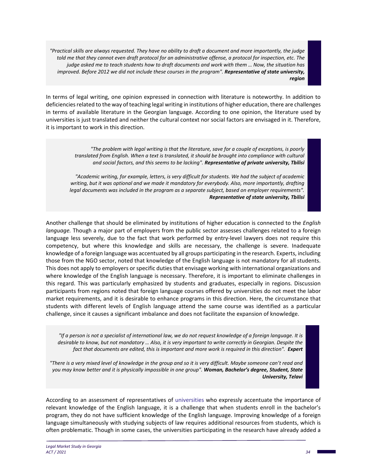*"Practical skills are always requested. They have no ability to draft a document and more importantly, the judge told me that they cannot even draft protocol for an administrative offense, a protocol for inspection, etc. The judge asked me to teach students how to draft documents and work with them … Now, the situation has improved. Before 2012 we did not include these courses in the program". Representative of state university, region*

In terms of legal writing, one opinion expressed in connection with literature is noteworthy. In addition to deficiencies related to the way of teaching legal writing in institutions of higher education, there are challenges in terms of available literature in the Georgian language. According to one opinion, the literature used by universities is just translated and neither the cultural context nor social factors are envisaged in it. Therefore, it is important to work in this direction.

> *"The problem with legal writing is that the literature, save for a couple of exceptions, is poorly translated from English. When a text is translated, it should be brought into compliance with cultural and social factors, and this seems to be lacking". Representative of private university, Tbilisi*

*"Academic writing, for example, letters, is very difficult for students. We had the subject of academic writing, but it was optional and we made it mandatory for everybody. Also, more importantly, drafting legal documents was included in the program as a separate subject, based on employer requirements". Representative of state university, Tbilisi*

Another challenge that should be eliminated by institutions of higher education is connected to the *English language.* Though a major part of employers from the public sector assesses challenges related to a foreign language less severely, due to the fact that work performed by entry-level lawyers does not require this competency, but where this knowledge and skills are necessary, the challenge is severe. Inadequate knowledge of a foreign language was accentuated by all groups participating in the research. Experts, including those from the NGO sector, noted that knowledge of the English language is not mandatory for all students. This does not apply to employers or specific duties that envisage working with international organizations and where knowledge of the English language is necessary. Therefore, it is important to eliminate challenges in this regard. This was particularly emphasized by students and graduates, especially in regions. Discussion participants from regions noted that foreign language courses offered by universities do not meet the labor market requirements, and it is desirable to enhance programs in this direction. Here, the circumstance that students with different levels of English language attend the same course was identified as a particular challenge, since it causes a significant imbalance and does not facilitate the expansion of knowledge.

*"If a person is not a specialist of international law, we do not request knowledge of a foreign language. It is desirable to know, but not mandatory … Also, it is very important to write correctly in Georgian. Despite the fact that documents are edited, this is important and more work is required in this direction". Expert* 

*"There is a very mixed level of knowledge in the group and so it is very difficult. Maybe someone can't read and you may know better and it is physically impossible in one group". Woman, Bachelor's degree, Student, State University, Telavi* 

According to an assessment of representatives of universities who expressly accentuate the importance of relevant knowledge of the English language, it is a challenge that when students enroll in the bachelor's program, they do not have sufficient knowledge of the English language. Improving knowledge of a foreign language simultaneously with studying subjects of law requires additional resources from students, which is often problematic. Though in some cases, the universities participating in the research have already added a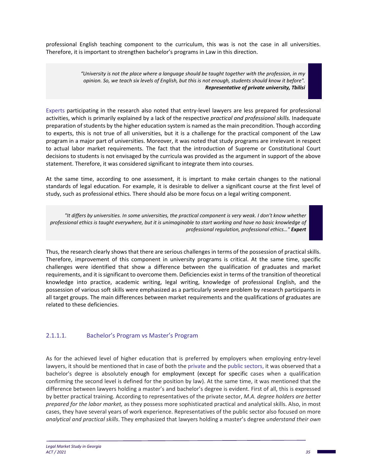professional English teaching component to the curriculum, this was is not the case in all universities. Therefore, it is important to strengthen bachelor's programs in Law in this direction.

> *"University is not the place where a language should be taught together with the profession, in my opinion. So, we teach six levels of English, but this is not enough, students should know it before". Representative of private university, Tbilisi*

Experts participating in the research also noted that entry-level lawyers are less prepared for professional activities, which is primarily explained by a lack of the respective *practical and professional skills.* Inadequate preparation of students by the higher education system is named as the main precondition. Though according to experts, this is not true of all universities, but it is a challenge for the practical component of the Law program in a major part of universities. Moreover, it was noted that study programs are irrelevant in respect to actual labor market requirements. The fact that the introduction of Supreme or Constitutional Court decisions to students is not envisaged by the curricula was provided as the argument in support of the above statement. Therefore, it was considered significant to integrate them into courses.

At the same time, according to one assessment, it is imprtant to make certain changes to the national standards of legal education. For example, it is desirable to deliver a significant course at the first level of study, such as professional ethics. There should also be more focus on a legal writing component.

*"It differs by universities. In some universities, the practical component is very weak. I don't know whether professional ethics is taught everywhere, but it is unimaginable to start working and have no basic knowledge of professional regulation, professional ethics…" Expert*

Thus, the research clearly shows that there are serious challenges in terms of the possession of practical skills. Therefore, improvement of this component in university programs is critical. At the same time, specific challenges were identified that show a difference between the qualification of graduates and market requirements, and it is significant to overcome them. Deficiencies exist in terms of the transition of theoretical knowledge into practice, academic writing, legal writing, knowledge of professional English, and the possession of various soft skills were emphasized as a particularly severe problem by research participants in all target groups. The main differences between market requirements and the qualifications of graduates are related to these deficiencies.

# 2.1.1.1. Bachelor's Program vs Master's Program

As for the achieved level of higher education that is preferred by employers when employing entry-level lawyers, it should be mentioned that in case of both the private and the public sectors, it was observed that a bachelor's degree is absolutely enough for employment (except for specific cases when a qualification confirming the second level is defined for the position by law). At the same time, it was mentioned that the difference between lawyers holding a master's and bachelor's degree is evident. First of all, this is expressed by better practical training. According to representatives of the private sector, *M.A. degree holders are better prepared for the labor market,* as they possess more sophisticated practical and analytical skills. Also, in most cases, they have several years of work experience. Representatives of the public sector also focused on more *analytical and practical skills*. They emphasized that lawyers holding a master's degree *understand their own*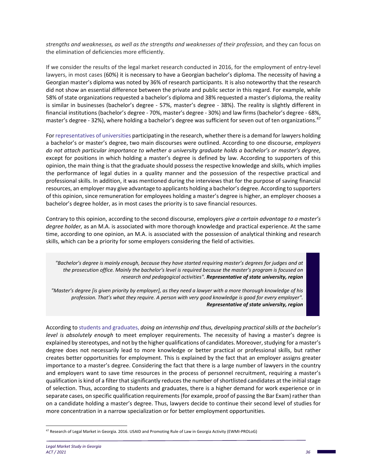*strengths and weaknesses, as well as the strengths and weaknesses of their profession,* and they can focus on the elimination of deficiencies more efficiently.

If we consider the results of the legal market research conducted in 2016, for the employment of entry‐level lawyers, in most cases (60%) it is necessary to have a Georgian bachelor's diploma. The necessity of having a Georgian master's diploma was noted by 36% of research participants. It is also noteworthy that the research did not show an essential difference between the private and public sector in this regard. For example, while 58% of state organizations requested a bachelor's diploma and 38% requested a master's diploma, the reality is similar in businesses (bachelor's degree - 57%, master's degree - 38%). The reality is slightly different in financial institutions (bachelor's degree ‐ 70%, master's degree ‐ 30%) and law firms (bachelor's degree ‐ 68%, master's degree - 32%), where holding a bachelor's degree was sufficient for seven out of ten organizations.<sup>47</sup>

For representatives of universities participating in the research, whether there is a demand for lawyers holding a bachelor's or master's degree, two main discourses were outlined. According to one discourse, *employers do not attach particular importance to whether a university graduate holds a bachelor's or master's degree,*  except for positions in which holding a master's degree is defined by law. According to supporters of this opinion, the main thing is that the graduate should possess the respective knowledge and skills, which implies the performance of legal duties in a quality manner and the possession of the respective practical and professional skills. In addition, it was mentioned during the interviews that for the purpose of saving financial resources, an employer may give advantage to applicants holding a bachelor's degree. According to supporters of this opinion, since remuneration for employees holding a master's degree is higher, an employer chooses a bachelor's degree holder, as in most cases the priority is to save financial resources.

Contrary to this opinion, according to the second discourse, employers *give a certain advantage to a master's degree holder,* as an M.A. is associated with more thorough knowledge and practical experience. At the same time, according to one opinion, an M.A. is associated with the possession of analytical thinking and research skills, which can be a priority for some employers considering the field of activities.

*"Bachelor's degree is mainly enough, because they have started requiring master's degrees for judges and at the prosecution office. Mainly the bachelor's level is required because the master's program is focused on research and pedagogical activities". Representative of state university, region* 

*"Master's degree [is given priority by employer], as they need a lawyer with a more thorough knowledge of his profession. That's what they require. A person with very good knowledge is good for every employer". Representative of state university, region* 

According to students and graduates, *doing an internship and thus, developing practical skills at the bachelor's level is absolutely enough* to meet employer requirements. The necessity of having a master's degree is explained by stereotypes, and not by the higher qualifications of candidates. Moreover, studying for a master's degree does not necessarily lead to more knowledge or better practical or professional skills, but rather creates better opportunities for employment. This is explained by the fact that an employer assigns greater importance to a master's degree. Considering the fact that there is a large number of lawyers in the country and employers want to save time resources in the process of personnel recruitment, requiring a master's qualification is kind of a filter that significantly reduces the number of shortlisted candidates at the initial stage of selection. Thus, according to students and graduates, there is a higher demand for work experience or in separate cases, on specific qualification requirements (for example, proof of passing the Bar Exam) rather than on a candidate holding a master's degree. Thus, lawyers decide to continue their second level of studies for more concentration in a narrow specialization or for better employment opportunities.

<sup>47</sup> Research of Legal Market in Georgia. 2016. USAID and Promoting Rule of Law in Georgia Activity (EWMI‐PROLoG)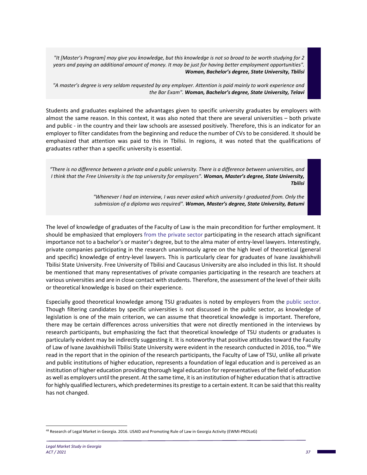*"It [Master's Program] may give you knowledge, but this knowledge is not so broad to be worth studying for 2 years and paying an additional amount of money. It may be just for having better employment opportunities". Woman, Bachelor's degree, State University, Tbilisi* 

*"A master's degree is very seldom requested by any employer. Attention is paid mainly to work experience and the Bar Exam". Woman, Bachelor's degree, State University, Telavi*

Students and graduates explained the advantages given to specific university graduates by employers with almost the same reason. In this context, it was also noted that there are several universities – both private and public - in the country and their law schools are assessed positively. Therefore, this is an indicator for an employer to filter candidates from the beginning and reduce the number of CVs to be considered. It should be emphasized that attention was paid to this in Tbilisi. In regions, it was noted that the qualifications of graduates rather than a specific university is essential.

*"There is no difference between a private and a public university. There is a difference between universities, and I think that the Free University is the top university for employers". Woman, Master's degree, State University, Tbilisi* 

> *"Whenever I had an interview, I was never asked which university I graduated from. Only the submission of a diploma was required". Woman, Master's degree, State University, Batumi*

The level of knowledge of graduates of the Faculty of Law is the main precondition for further employment. It should be emphasized that employers from the private sector participating in the research attach significant importance not to a bachelor's or master's degree, but to the alma mater of entry‐level lawyers. Interestingly, private companies participating in the research unanimously agree on the high level of theoretical (general and specific) knowledge of entry‐level lawyers. This is particularly clear for graduates of Ivane Javakhishvili Tbilisi State University. Free University of Tbilisi and Caucasus University are also included in this list. It should be mentioned that many representatives of private companies participating in the research are teachers at various universities and are in close contact with students. Therefore, the assessment of the level of their skills or theoretical knowledge is based on their experience.

Especially good theoretical knowledge among TSU graduates is noted by employers from the public sector. Though filtering candidates by specific universities is not discussed in the public sector, as knowledge of legislation is one of the main criterion, we can assume that theoretical knowledge is important. Therefore, there may be certain differences across universities that were not directly mentioned in the interviews by research participants, but emphasizing the fact that theoretical knowledge of TSU students or graduates is particularly evident may be indirectly suggesting it. It is noteworthy that positive attitudes toward the Faculty of Law of Ivane Javakhishvili Tbilisi State University were evident in the research conducted in 2016, too.<sup>48</sup> We read in the report that in the opinion of the research participants, the Faculty of Law of TSU, unlike all private and public institutions of higher education, represents a foundation of legal education and is perceived as an institution of higher education providing thorough legal education for representatives of the field of education as well as employers until the present. At the same time, it is an institution of higher education that is attractive for highly qualified lecturers, which predetermines its prestige to a certain extent. It can be said that this reality has not changed.

<sup>48</sup> Research of Legal Market in Georgia. 2016. USAID and Promoting Rule of Law in Georgia Activity (EWMI-PROLoG)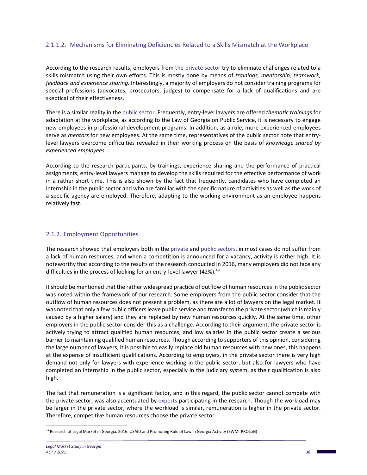# 2.1.1.2. Mechanisms for Eliminating Deficiencies Related to a Skills Mismatch at the Workplace

According to the research results, employers from the private sector try to eliminate challenges related to a skills mismatch using their own efforts. This is mostly done by means of *trainings, mentorship, teamwork, feedback and experience sharing.* Interestingly, a majority of employers do not consider training programs for special professions (advocates, prosecutors, judges) to compensate for a lack of qualifications and are skeptical of their effectiveness.

There is a similar reality in the public sector. Frequently, entry‐level lawyers are offered *thematic training*s for adaptation at the workplace, as according to the Law of Georgia on Public Service, it is necessary to engage new employees in professional development programs. In addition, as a rule, more experienced employees serve as *mentors* for new employees. At the same time, representatives of the public sector note that entry‐ level lawyers overcome difficulties revealed in their working process on the basis of *knowledge shared by experienced employees.* 

According to the research participants, by trainings, experience sharing and the performance of practical assignments, entry‐level lawyers manage to develop the skills required for the effective performance of work in a rather short time. This is also shown by the fact that frequently, candidates who have completed an internship in the public sector and who are familiar with the specific nature of activities as well as the work of a specific agency are employed. Therefore, adapting to the working environment as an employee happens relatively fast.

# 2.1.2. Employment Opportunities

The research showed that employers both in the private and public sectors, in most cases do not suffer from a lack of human resources, and when a competition is announced for a vacancy, activity is rather high. It is noteworthy that according to the results of the research conducted in 2016, many employers did not face any difficulties in the process of looking for an entry-level lawyer (42%).<sup>49</sup>

It should be mentioned that the rather widespread practice of outflow of human resources in the public sector was noted within the framework of our research. Some employers from the public sector consider that the outflow of human resources does not present a problem, as there are a lot of lawyers on the legal market. It was noted that only a few public officers leave public service and transfer to the private sector (which is mainly caused by a higher salary) and they are replaced by new human resources quickly. At the same time, other employers in the public sector consider this as a challenge. According to their argument, the private sector is actively trying to attract qualified human resources, and low salaries in the public sector create a serious barrier to maintaining qualified human resources. Though according to supporters of this opinion, considering the large number of lawyers, it is possible to easily replace old human resources with new ones, this happens at the expense of insufficient qualifications. According to employers, in the private sector there is very high demand not only for lawyers with experience working in the public sector, but also for lawyers who have completed an internship in the public sector, especially in the judiciary system, as their qualification is also high.

The fact that remuneration is a significant factor, and in this regard, the public sector cannot compete with the private sector, was also accentuated by experts participating in the research. Though the workload may be larger in the private sector, where the workload is similar, remuneration is higher in the private sector. Therefore, competitive human resources choose the private sector.

<sup>49</sup> Research of Legal Market in Georgia. 2016. USAID and Promoting Rule of Law in Georgia Activity (EWMI-PROLoG)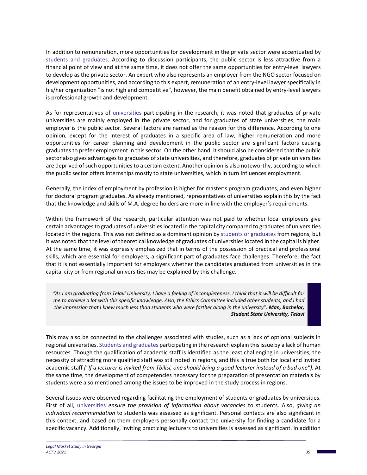In addition to remuneration, more opportunities for development in the private sector were accentuated by students and graduates. According to discussion participants, the public sector is less attractive from a financial point of view and at the same time, it does not offer the same opportunities for entry-level lawyers to develop as the private sector. An expert who also represents an employer from the NGO sector focused on development opportunities, and according to this expert, remuneration of an entry‐level lawyer specifically in his/her organization "is not high and competitive", however, the main benefit obtained by entry‐level lawyers is professional growth and development.

As for representatives of universities participating in the research, it was noted that graduates of private universities are mainly employed in the private sector, and for graduates of state universities, the main employer is the public sector. Several factors are named as the reason for this difference. According to one opinion, except for the interest of graduates in a specific area of law, higher remuneration and more opportunities for career planning and development in the public sector are significant factors causing graduates to prefer employment in this sector. On the other hand, it should also be considered that the public sector also gives advantages to graduates of state universities, and therefore, graduates of private universities are deprived of such opportunities to a certain extent. Another opinion is also noteworthy, according to which the public sector offers internships mostly to state universities, which in turn influences employment.

Generally, the index of employment by profession is higher for master's program graduates, and even higher for doctoral program graduates. As already mentioned, representatives of universities explain this by the fact that the knowledge and skills of M.A. degree holders are more in line with the employer's requirements.

Within the framework of the research, particular attention was not paid to whether local employers give certain advantages to graduates of universities located in the capital city compared to graduates of universities located in the regions. This was not defined as a dominant opinion by students or graduates from regions, but it was noted that the level of theoretical knowledge of graduates of universities located in the capital is higher. At the same time, it was expressly emphasized that in terms of the possession of practical and professional skills, which are essential for employers, a significant part of graduates face challenges. Therefore, the fact that it is not essentially important for employers whether the candidates graduated from universities in the capital city or from regional universities may be explained by this challenge.

*"As I am graduating from Telavi University, I have a feeling of incompleteness. I think that it will be difficult for me to achieve a lot with this specific knowledge. Also, the Ethics Committee included other students, and I had the impression that I knew much less than students who were farther along in the university". Man, Bachelor, Student State University, Telavi* 

This may also be connected to the challenges associated with studies, such as a lack of optional subjects in regional universities. Students and graduates participating in the research explain this issue by a lack of human resources. Though the qualification of academic staff is identified as the least challenging in universities, the necessity of attracting more qualified staff was still noted in regions, and this is true both for local and invited academic staff *("If a lecturer is invited from Tbilisi, one should bring a good lecturer instead of a bad one").* At the same time, the development of competencies necessary for the preparation of presentation materials by students were also mentioned among the issues to be improved in the study process in regions.

Several issues were observed regarding facilitating the employment of students or graduates by universities. First of all, universities *ensure the provision of information about vacancies* to students. Also, *giving an individual recommendation* to students was assessed as significant. Personal contacts are also significant in this context, and based on them employers personally contact the university for finding a candidate for a specific vacancy. Additionally, inviting practicing lecturers to universities is assessed as significant. In addition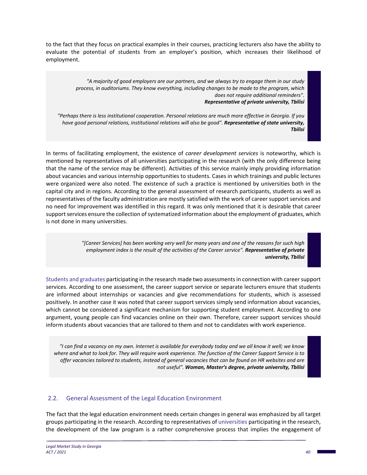to the fact that they focus on practical examples in their courses, practicing lecturers also have the ability to evaluate the potential of students from an employer's position, which increases their likelihood of employment.

> *"A majority of good employers are our partners, and we always try to engage them in our study process, in auditoriums. They know everything, including changes to be made to the program, which does not require additional reminders". Representative of private university, Tbilisi*

*"Perhaps there is less institutional cooperation. Personal relations are much more effective in Georgia. If you have good personal relations, institutional relations will also be good". Representative of state university, Tbilisi* 

In terms of facilitating employment, the existence of *career development services* is noteworthy, which is mentioned by representatives of all universities participating in the research (with the only difference being that the name of the service may be different). Activities of this service mainly imply providing information about vacancies and various internship opportunities to students. Cases in which trainings and public lectures were organized were also noted. The existence of such a practice is mentioned by universities both in the capital city and in regions. According to the general assessment of research participants, students as well as representatives of the faculty administration are mostly satisfied with the work of career support services and no need for improvement was identified in this regard. It was only mentioned that it is desirable that career support services ensure the collection of systematized information about the employment of graduates, which is not done in many universities.

> *"[Career Services] has been working very well for many years and one of the reasons for such high employment index is the result of the activities of the Career service". Representative of private university, Tbilisi*

Students and graduates participating in the research made two assessments in connection with career support services. According to one assessment, the career support service or separate lecturers ensure that students are informed about internships or vacancies and give recommendations for students, which is assessed positively. In another case it was noted that career support services simply send information about vacancies, which cannot be considered a significant mechanism for supporting student employment. According to one argument, young people can find vacancies online on their own. Therefore, career support services should inform students about vacancies that are tailored to them and not to candidates with work experience.

*"I can find a vacancy on my own. Internet is available for everybody today and we all know it well; we know where and what to look for. They will require work experience. The function of the Career Support Service is to offer vacancies tailored to students, instead of general vacancies that can be found on HR websites and are not useful". Woman, Master's degree, private university, Tbilisi* 

# 2.2. General Assessment of the Legal Education Environment

The fact that the legal education environment needs certain changes in general was emphasized by all target groups participating in the research. According to representatives of universities participating in the research, the development of the law program is a rather comprehensive process that implies the engagement of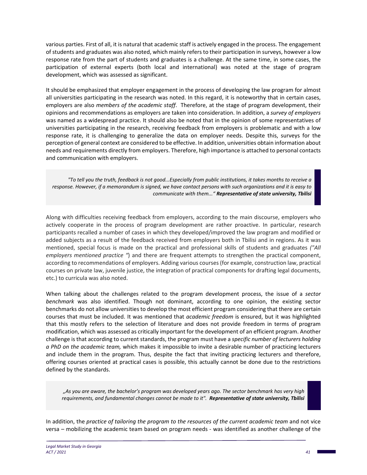various parties. First of all, it is natural that academic staff is actively engaged in the process. The engagement of students and graduates was also noted, which mainly refers to their participation in surveys, however a low response rate from the part of students and graduates is a challenge. At the same time, in some cases, the participation of external experts (both local and international) was noted at the stage of program development, which was assessed as significant.

It should be emphasized that employer engagement in the process of developing the law program for almost all universities participating in the research was noted. In this regard, it is noteworthy that in certain cases, employers are also *members of the academic staff*. Therefore, at the stage of program development, their opinions and recommendations as employers are taken into consideration. In addition, a *survey of employers* was named as a widespread practice. It should also be noted that in the opinion of some representatives of universities participating in the research, receiving feedback from employers is problematic and with a low response rate, it is challenging to generalize the data on employer needs. Despite this, surveys for the perception of general context are considered to be effective. In addition, universities obtain information about needs and requirements directly from employers. Therefore, high importance is attached to personal contacts and communication with employers.

*"To tell you the truth, feedback is not good...Especially from public institutions, it takes months to receive a response. However, if a memorandum is signed, we have contact persons with such organizations and it is easy to communicate with them..." Representative of state university, Tbilisi* 

Along with difficulties receiving feedback from employers, according to the main discourse, employers who actively cooperate in the process of program development are rather proactive. In particular, research participants recalled a number of cases in which they developed/improved the law program and modified or added subjects as a result of the feedback received from employers both in Tbilisi and in regions. As it was mentioned, special focus is made on the practical and professional skills of students and graduates *("All employers mentioned practice "*) and there are frequent attempts to strengthen the practical component, according to recommendations of employers. Adding various courses (for example, construction law, practical courses on private law, juvenile justice, the integration of practical components for drafting legal documents, etc.) to curricula was also noted.

When talking about the challenges related to the program development process, the issue of a *sector benchmark* was also identified. Though not dominant, according to one opinion, the existing sector benchmarks do not allow universities to develop the most efficient program considering that there are certain courses that must be included. It was mentioned that *academic freedom* is ensured, but it was highlighted that this mostly refers to the selection of literature and does not provide freedom in terms of program modification, which was assessed as critically important for the development of an efficient program. Another challenge is that according to current standards, the program must have a *specific number of lecturers holding a PhD on the academic team,* which makes it impossible to invite a desirable number of practicing lecturers and include them in the program. Thus, despite the fact that inviting practicing lecturers and therefore, offering courses oriented at practical cases is possible, this actually cannot be done due to the restrictions defined by the standards.

*"As you are aware, the bachelor's program was developed years ago. The sector benchmark has very high requirements, and fundamental changes cannot be made to it". Representative of state university, Tbilisi*

In addition, the *practice of tailoring the program to the resources of the current academic team* and not vice versa – mobilizing the academic team based on program needs ‐ was identified as another challenge of the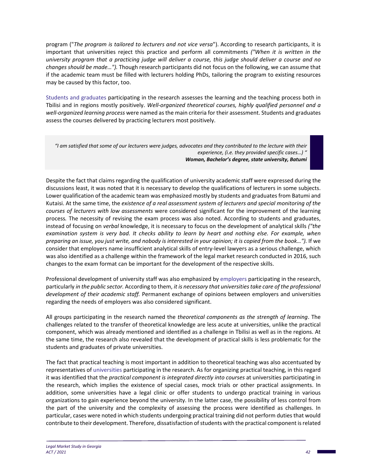program ("*The program is tailored to lecturers and not vice versa*"). According to research participants, it is important that universities reject this practice and perform all commitments *("When it is written in the university program that a practicing judge will deliver a course, this judge should deliver a course and no changes should be made…").* Though research participants did not focus on the following, we can assume that if the academic team must be filled with lecturers holding PhDs, tailoring the program to existing resources may be caused by this factor, too.

Students and graduates participating in the research assesses the learning and the teaching process both in Tbilisi and in regions mostly positively. *Well‐organized theoretical courses, highly qualified personnel and a well‐organized learning process* were named as the main criteria for their assessment. Students and graduates assess the courses delivered by practicing lecturers most positively.

*"I am satisfied that some of our lecturers were judges, advocates and they contributed to the lecture with their experience, (i.e. they provided specific cases…) " Woman, Bachelor's degree, state university, Batumi* 

Despite the fact that claims regarding the qualification of university academic staff were expressed during the discussions least, it was noted that it is necessary to develop the qualifications of lecturers in some subjects. Lower qualification of the academic team was emphasized mostly by students and graduates from Batumi and Kutaisi. At the same time, the *existence of a real assessment system of lecturers and special monitoring of the courses of lecturers with low assessments* were considered significant for the improvement of the learning process*.* The necessity of revising the exam process was also noted. According to students and graduates, instead of focusing on *verbal* knowledge, it is necessary to focus on the development of analytical skills *("the examination system is very bad. It checks ability to learn by heart and nothing else. For example, when preparing an issue, you just write, and nobody is interested in your opinion; it is copied from the book…").* If we consider that employers name insufficient analytical skills of entry-level lawyers as a serious challenge, which was also identified as a challenge within the framework of the legal market research conducted in 2016, such changes to the exam format can be important for the development of the respective skills.

Professional development of university staff was also emphasized by employers participating in the research, particularly *in the public sector.* According to them, *it is necessary that universities take care of the professional development of their academic staff.* Permanent exchange of opinions between employers and universities regarding the needs of employers was also considered significant.

All groups participating in the research named the *theoretical components as the strength of learning*. The challenges related to the transfer of theoretical knowledge are less acute at universities, unlike the practical component, which was already mentioned and identified as a challenge in Tbilisi as well as in the regions. At the same time, the research also revealed that the development of practical skills is less problematic for the students and graduates of private universities.

The fact that practical teaching is most important in addition to theoretical teaching was also accentuated by representatives of universities participating in the research. As for organizing practical teaching, in this regard it was identified that the *practical component is integrated directly into courses* at universities participating in the research, which implies the existence of special cases, mock trials or other practical assignments. In addition, some universities have a legal clinic or offer students to undergo practical training in various organizations to gain experience beyond the university. In the latter case, the possibility of less control from the part of the university and the complexity of assessing the process were identified as challenges. In particular, cases were noted in which students undergoing practical training did not perform duties that would contribute to their development. Therefore, dissatisfaction of students with the practical component is related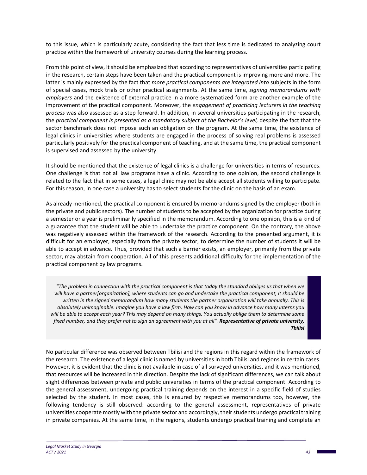to this issue, which is particularly acute, considering the fact that less time is dedicated to analyzing court practice within the framework of university courses during the learning process.

From this point of view, it should be emphasized that according to representatives of universities participating in the research, certain steps have been taken and the practical component is improving more and more. The latter is mainly expressed by the fact that *more practical components are integrated into* subjects in the form of special cases, mock trials or other practical assignments. At the same time, *signing memorandums with employers* and the existence of external practice in a more systematized form are another example of the improvement of the practical component. Moreover, the *engagement of practicing lecturers in the teaching process* was also assessed as a step forward. In addition, in several universities participating in the research, the *practical component is presented as a mandatory subject at the Bachelor's level,* despite the fact that the sector benchmark does not impose such an obligation on the program. At the same time, the existence of legal clinics in universities where students are engaged in the process of solving real problems is assessed particularly positively for the practical component of teaching, and at the same time, the practical component is supervised and assessed by the university.

It should be mentioned that the existence of legal clinics is a challenge for universities in terms of resources. One challenge is that not all law programs have a clinic. According to one opinion, the second challenge is related to the fact that in some cases, a legal clinic may not be able accept all students willing to participate. For this reason, in one case a university has to select students for the clinic on the basis of an exam.

As already mentioned, the practical component is ensured by memorandums signed by the employer (both in the private and public sectors). The number of students to be accepted by the organization for practice during a semester or a year is preliminarily specified in the memorandum. According to one opinion, this is a kind of a guarantee that the student will be able to undertake the practice component. On the contrary, the above was negatively assessed within the framework of the research. According to the presented argument, it is difficult for an employer, especially from the private sector, to determine the number of students it will be able to accept in advance. Thus, provided that such a barrier exists, an employer, primarily from the private sector, may abstain from cooperation. All of this presents additional difficulty for the implementation of the practical component by law programs.

*"The problem in connection with the practical component is that today the standard obliges us that when we will have a partner[organization], where students can go and undertake the practical component, it should be written in the signed memorandum how many students the partner organization will take annually. This is absolutely unimaginable. Imagine you have a law firm. How can you know in advance how many interns you will be able to accept each year? This may depend on many things. You actually oblige them to determine some fixed number, and they prefer not to sign an agreement with you at all". Representative of private university, Tbilisi* 

No particular difference was observed between Tbilisi and the regions in this regard within the framework of the research. The existence of a legal clinic is named by universities in both Tbilisi and regions in certain cases. However, it is evident that the clinic is not available in case of all surveyed universities, and it was mentioned, that resources will be increased in this direction. Despite the lack of significant differences, we can talk about slight differences between private and public universities in terms of the practical component. According to the general assessment, undergoing practical training depends on the interest in a specific field of studies selected by the student. In most cases, this is ensured by respective memorandums too, however, the following tendency is still observed: according to the general assessment, representatives of private universities cooperate mostly with the private sector and accordingly, their students undergo practical training in private companies. At the same time, in the regions, students undergo practical training and complete an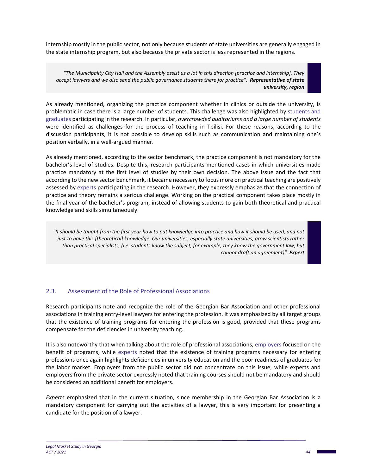internship mostly in the public sector, not only because students of state universities are generally engaged in the state internship program, but also because the private sector is less represented in the regions.

*"The Municipality City Hall and the Assembly assist us a lot in this direction [practice and internship]. They accept lawyers and we also send the public governance students there for practice". Representative of state university, region*

As already mentioned, organizing the practice component whether in clinics or outside the university, is problematic in case there is a large number of students. This challenge was also highlighted by students and graduates participating in the research. In particular, *overcrowded auditoriums and a large number of students*  were identified as challenges for the process of teaching in Tbilisi. For these reasons, according to the discussion participants, it is not possible to develop skills such as communication and maintaining one's position verbally, in a well‐argued manner.

As already mentioned, according to the sector benchmark, the practice component is not mandatory for the bachelor's level of studies. Despite this, research participants mentioned cases in which universities made practice mandatory at the first level of studies by their own decision. The above issue and the fact that according to the new sector benchmark, it became necessary to focus more on practical teaching are positively assessed by experts participating in the research. However, they expressly emphasize that the connection of practice and theory remains a serious challenge. Working on the practical component takes place mostly in the final year of the bachelor's program, instead of allowing students to gain both theoretical and practical knowledge and skills simultaneously.

*"It should be taught from the first year how to put knowledge into practice and how it should be used, and not just to have this [theoretical] knowledge. Our universities, especially state universities, grow scientists rather than practical specialists, (i.e. students know the subject, for example, they know the government law, but cannot draft an agreement)". Expert* 

# 2.3. Assessment of the Role of Professional Associations

Research participants note and recognize the role of the Georgian Bar Association and other professional associations in training entry‐level lawyers for entering the profession. It was emphasized by all target groups that the existence of training programs for entering the profession is good, provided that these programs compensate for the deficiencies in university teaching.

It is also noteworthy that when talking about the role of professional associations, employers focused on the benefit of programs, while experts noted that the existence of training programs necessary for entering professions once again highlights deficiencies in university education and the poor readiness of graduates for the labor market. Employers from the public sector did not concentrate on this issue, while experts and employers from the private sector expressly noted that training courses should not be mandatory and should be considered an additional benefit for employers.

*Experts* emphasized that in the current situation, since membership in the Georgian Bar Association is a mandatory component for carrying out the activities of a lawyer, this is very important for presenting a candidate for the position of a lawyer.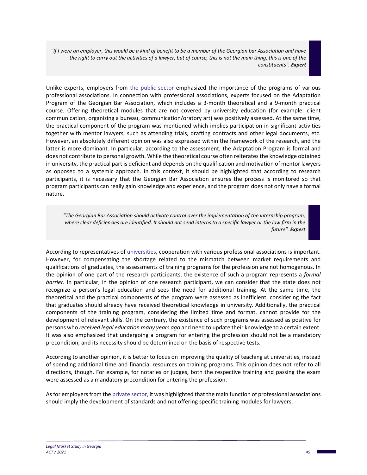*"If I were an employer, this would be a kind of benefit to be a member of the Georgian bar Association and have the right to carry out the activities of a lawyer, but of course, this is not the main thing, this is one of the constituents". Expert*

Unlike experts, employers from the public sector emphasized the importance of the programs of various professional associations. In connection with professional associations, experts focused on the Adaptation Program of the Georgian Bar Association, which includes a 3‐month theoretical and a 9‐month practical course. Offering theoretical modules that are not covered by university education (for example: client communication, organizing a bureau, communication/oratory art) was positively assessed. At the same time, the practical component of the program was mentioned which implies participation in significant activities together with mentor lawyers, such as attending trials, drafting contracts and other legal documents, etc. However, an absolutely different opinion was also expressed within the framework of the research, and the latter is more dominant. In particular, according to the assessment, the Adaptation Program is formal and does not contribute to personal growth. While the theoretical course often reiterates the knowledge obtained in university, the practical part is deficient and depends on the qualification and motivation of mentor lawyers as opposed to a systemic approach. In this context, it should be highlighted that according to research participants, it is necessary that the Georgian Bar Association ensures the process is monitored so that program participants can really gain knowledge and experience, and the program does not only have a formal nature.

*"The Georgian Bar Association should activate control over the implementation of the internship program,*  where clear deficiencies are identified. It should not send interns to a specific lawyer or the law firm in the *future". Expert* 

According to representatives of universities, cooperation with various professional associations is important. However, for compensating the shortage related to the mismatch between market requirements and qualifications of graduates, the assessments of training programs for the profession are not homogenous. In the opinion of one part of the research participants, the existence of such a program represents a *formal barrier*. In particular, in the opinion of one research participant, we can consider that the state does not recognize a person's legal education and sees the need for additional training. At the same time, the theoretical and the practical components of the program were assessed as inefficient, considering the fact that graduates should already have received theoretical knowledge in university. Additionally, the practical components of the training program, considering the limited time and format, cannot provide for the development of relevant skills. On the contrary, the existence of such programs was assessed as positive for persons who *received legal education many years ago* and need to update their knowledge to a certain extent. It was also emphasized that undergoing a program for entering the profession should not be a mandatory precondition, and its necessity should be determined on the basis of respective tests.

According to another opinion, it is better to focus on improving the quality of teaching at universities, instead of spending additional time and financial resources on training programs. This opinion does not refer to all directions, though. For example, for notaries or judges, both the respective training and passing the exam were assessed as a mandatory precondition for entering the profession.

As for employers from the private sector, it was highlighted that the main function of professional associations should imply the development of standards and not offering specific training modules for lawyers.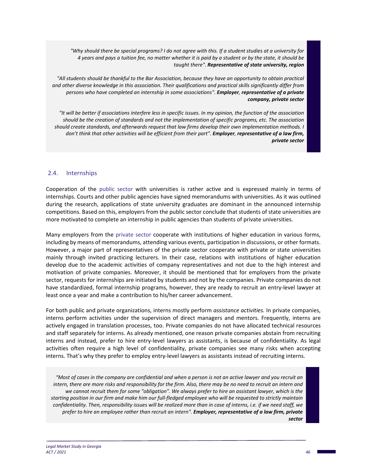*"Why should there be special programs? I do not agree with this. If a student studies at a university for 4 years and pays a tuition fee, no matter whether it is paid by a student or by the state, it should be taught there". Representative of state university, region* 

*"All students should be thankful to the Bar Association, because they have an opportunity to obtain practical and other diverse knowledge in this association. Their qualifications and practical skills significantly differ from persons who have completed an internship in some associations". Employer, representative of a private company, private sector* 

*"It will be better if associations interfere less in specific issues. In my opinion, the function of the association should be the creation of standards and not the implementation of specific programs, etc. The association should create standards, and afterwards request that law firms develop their own implementation methods. I don't think that other activities will be efficient from their part". Employer, representative of a law firm, private sector* 

# 2.4. Internships

Cooperation of the public sector with universities is rather active and is expressed mainly in terms of internships. Courts and other public agencies have signed memorandums with universities. As it was outlined during the research, applications of state university graduates are dominant in the announced internship competitions. Based on this, employers from the public sector conclude that students of state universities are more motivated to complete an internship in public agencies than students of private universities.

Many employers from the private sector cooperate with institutions of higher education in various forms, including by means of memorandums, attending various events, participation in discussions, or other formats. However, a major part of representatives of the private sector cooperate with private or state universities mainly through invited practicing lecturers. In their case, relations with institutions of higher education develop due to the academic activities of company representatives and not due to the high interest and motivation of private companies. Moreover, it should be mentioned that for employers from the private sector, requests for internships are initiated by students and not by the companies. Private companies do not have standardized, formal internship programs, however, they are ready to recruit an entry‐level lawyer at least once a year and make a contribution to his/her career advancement.

For both public and private organizations, interns mostly perform *assistance activities.* In private companies, interns perform activities under the supervision of direct managers and mentors. Frequently, interns are actively engaged in translation processes, too. Private companies do not have allocated technical resources and staff separately for interns. As already mentioned, one reason private companies abstain from recruiting interns and instead, prefer to hire entry-level lawyers as assistants, is because of confidentiality. As legal activities often require a high level of confidentiality, private companies see many risks when accepting interns. That's why they prefer to employ entry‐level lawyers as assistants instead of recruiting interns.

*"Most of cases in the company are confidential and when a person is not an active lawyer and you recruit an intern, there are more risks and responsibility for the firm. Also, there may be no need to recruit an intern and we cannot recruit them for some "obligation". We always prefer to hire an assistant lawyer, which is the starting position in our firm and make him our full‐fledged employee who will be requested to strictly maintain confidentiality. Then, responsibility issues will be realized more than in case of interns, i.e. if we need staff, we prefer to hire an employee rather than recruit an intern". Employer, representative of a law firm, private sector*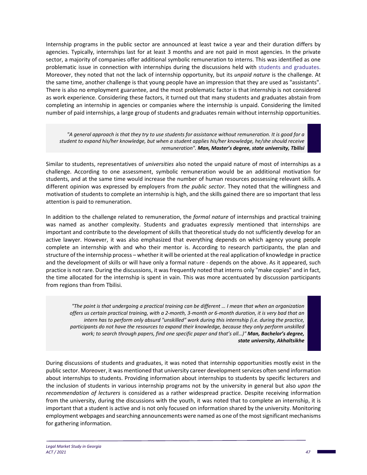Internship programs in the public sector are announced at least twice a year and their duration differs by agencies. Typically, internships last for at least 3 months and are not paid in most agencies. In the private sector, a majority of companies offer additional symbolic remuneration to interns. This was identified as one problematic issue in connection with internships during the discussions held with students and graduates. Moreover, they noted that not the lack of internship opportunity, but its *unpaid nature* is the challenge. At the same time, another challenge is that young people have an impression that they are used as "assistants". There is also no employment guarantee, and the most problematic factor is that internship is not considered as work experience. Considering these factors, it turned out that many students and graduates abstain from completing an internship in agencies or companies where the internship is unpaid. Considering the limited number of paid internships, a large group of students and graduates remain without internship opportunities.

*"A general approach is that they try to use students for assistance without remuneration. It is good for a student to expand his/her knowledge, but when a student applies his/her knowledge, he/she should receive remuneration". Man, Master's degree, state university, Tbilisi* 

Similar to students, representatives of *universities* also noted the unpaid nature of most of internships as a challenge. According to one assessment, symbolic remuneration would be an additional motivation for students, and at the same time would increase the number of human resources possessing relevant skills. A different opinion was expressed by employers from *the public sector*. They noted that the willingness and motivation of students to complete an internship is high, and the skills gained there are so important that less attention is paid to remuneration.

In addition to the challenge related to remuneration, the *formal nature* of internships and practical training was named as another complexity. Students and graduates expressly mentioned that internships are important and contribute to the development of skills that theoretical study do not sufficiently develop for an active lawyer. However, it was also emphasized that everything depends on which agency young people complete an internship with and who their mentor is. According to research participants, the plan and structure of the internship process – whether it will be oriented at the real application of knowledge in practice and the development of skills or will have only a formal nature ‐ depends on the above. As it appeared, such practice is not rare. During the discussions, it was frequently noted that interns only "make copies" and in fact, the time allocated for the internship is spent in vain. This was more accentuated by discussion participants from regions than from Tbilisi.

*"The point is that undergoing a practical training can be different … I mean that when an organization offers us certain practical training, with a 2‐month, 3‐month or 6‐month duration, it is very bad that an intern has to perform only absurd "unskilled" work during this internship (i.e. during the practice, participants do not have the resources to expand their knowledge, because they only perform unskilled work; to search through papers, find one specific paper and that's all…)" Man, Bachelor's degree, state university, Akhaltsikhe*

During discussions of students and graduates, it was noted that internship opportunities mostly exist in the public sector. Moreover, it was mentioned that university career development services often send information about internships to students. Providing information about internships to students by specific lecturers and the inclusion of students in various internship programs not by the university in general but also *upon the recommendation of lecturers* is considered as a rather widespread practice. Despite receiving information from the university, during the discussions with the youth, it was noted that to complete an internship, it is important that a student is active and is not only focused on information shared by the university. Monitoring employment webpages and searching announcements were named as one of the most significant mechanisms for gathering information.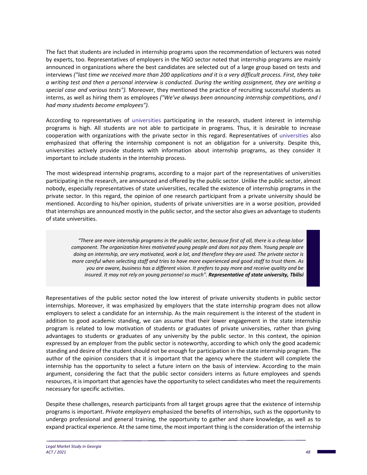The fact that students are included in internship programs upon the recommendation of lecturers was noted by experts, too. Representatives of employers in the NGO sector noted that internship programs are mainly announced in organizations where the best candidates are selected out of a large group based on tests and interviews *("last time we received more than 200 applications and it is a very difficult process. First, they take a writing test and then a personal interview is conducted. During the writing assignment, they are writing a special case and various tests").* Moreover, they mentioned the practice of recruiting successful students as interns, as well as hiring them as employees *("We've always been announcing internship competitions, and I had many students become employees").* 

According to representatives of universities participating in the research, student interest in internship programs is high. All students are not able to participate in programs. Thus, it is desirable to increase cooperation with organizations with the private sector in this regard. Representatives of universities also emphasized that offering the internship component is not an obligation for a university. Despite this, universities actively provide students with information about internship programs, as they consider it important to include students in the internship process.

The most widespread internship programs, according to a major part of the representatives of universities participating in the research, are announced and offered by the public sector. Unlike the public sector, almost nobody, especially representatives of state universities, recalled the existence of internship programs in the private sector. In this regard, the opinion of one research participant from a private university should be mentioned. According to his/her opinion, students of private universities are in a worse position, provided that internships are announced mostly in the public sector, and the sector also gives an advantage to students of state universities.

*"There are more internship programs in the public sector, because first of all, there is a cheap labor component. The organization hires motivated young people and does not pay them. Young people are doing an internship, are very motivated, work a lot, and therefore they are used. The private sector is more careful when selecting staff and tries to have more experienced and good staff to trust them. As you are aware, business has a different vision. It prefers to pay more and receive quality and be insured. It may not rely on young personnel so much". Representative of state university, Tbilisi* 

Representatives of the public sector noted the low interest of private university students in public sector internships. Moreover, it was emphasized by employers that the state internship program does not allow employers to select a candidate for an internship. As the main requirement is the interest of the student in addition to good academic standing, we can assume that their lower engagement in the state internship program is related to low motivation of students or graduates of private universities, rather than giving advantages to students or graduates of any university by the public sector. In this context, the opinion expressed by an employer from the public sector is noteworthy, according to which only the good academic standing and desire of the student should not be enough for participation in the state internship program. The author of the opinion considers that it is important that the agency where the student will complete the internship has the opportunity to select a future intern on the basis of interview. According to the main argument, considering the fact that the public sector considers interns as future employees and spends resources, it is important that agencies have the opportunity to select candidates who meet the requirements necessary for specific activities.

Despite these challenges, research participants from all target groups agree that the existence of internship programs is important. *Private employers* emphasized the benefits of internships, such as the opportunity to undergo professional and general training, the opportunity to gather and share knowledge, as well as to expand practical experience. At the same time, the most important thing is the consideration of the internship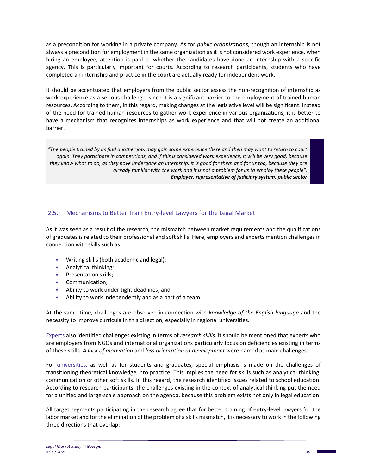as a precondition for working in a private company. As for *public organizations,* though an internship is not always a precondition for employment in the same organization as it is not considered work experience, when hiring an employee, attention is paid to whether the candidates have done an internship with a specific agency. This is particularly important for courts. According to research participants, students who have completed an internship and practice in the court are actually ready for independent work.

It should be accentuated that employers from the public sector assess the non-recognition of internship as work experience as a serious challenge, since it is a significant barrier to the employment of trained human resources. According to them, in this regard, making changes at the legislative level will be significant. Instead of the need for trained human resources to gather work experience in various organizations, it is better to have a mechanism that recognizes internships as work experience and that will not create an additional barrier.

*"The people trained by us find another job, may gain some experience there and then may want to return to court again. They participate in competitions, and if this is considered work experience, it will be very good, because they know what to do, as they have undergone an internship. It is good for them and for us too, because they are already familiar with the work and it is not a problem for us to employ these people". Employer, representative of judiciary system, public sector* 

# 2.5. Mechanisms to Better Train Entry‐level Lawyers for the Legal Market

As it was seen as a result of the research, the mismatch between market requirements and the qualifications of graduates is related to their professional and soft skills. Here, employers and experts mention challenges in connection with skills such as:

- Writing skills (both academic and legal);
- **Analytical thinking;**
- **Presentation skills;**
- Communication;
- Ability to work under tight deadlines; and
- Ability to work independently and as a part of a team.

At the same time, challenges are observed in connection with *knowledge of the English language* and the necessity to improve curricula in this direction, especially in regional universities.

Experts also identified challenges existing in terms of *research skills*. It should be mentioned that experts who are employers from NGOs and international organizations particularly focus on deficiencies existing in terms of these skills. *A lack of motivation* and *less orientation at development* were named as main challenges.

For universities, as well as for students and graduates, special emphasis is made on the challenges of transitioning theoretical knowledge into practice. This implies the need for skills such as analytical thinking, communication or other soft skills. In this regard, the research identified issues related to school education. According to research participants, the challenges existing in the context of analytical thinking put the need for a unified and large-scale approach on the agenda, because this problem exists not only in legal education.

All target segments participating in the research agree that for better training of entry‐level lawyers for the labor market and for the elimination of the problem of a skills mismatch, it is necessary to work in the following three directions that overlap: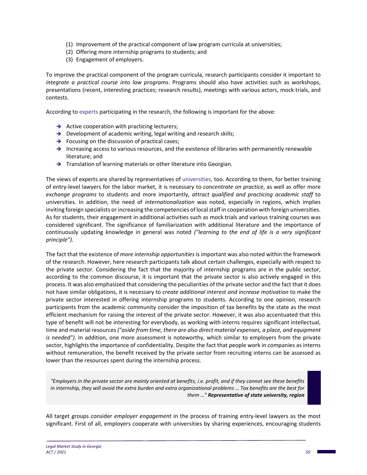- (1) Improvement of the practical component of law program curricula at universities;
- (2) Offering more internship programs to students; and
- (3) Engagement of employers.

To improve the practical component of the program curricula, research participants consider it important to *integrate a practical course into law programs*. Programs should also have activities such as workshops, presentations (recent, interesting practices; research results), meetings with various actors, mock trials, and contests.

According to experts participating in the research, the following is important for the above:

- $\rightarrow$  Active cooperation with practicing lecturers;
- $\rightarrow$  Development of academic writing, legal writing and research skills;
- $\rightarrow$  Focusing on the discussion of practical cases;
- $\rightarrow$  Increasing access to various resources, and the existence of libraries with permanently renewable literature; and
- $\rightarrow$  Translation of learning materials or other literature into Georgian.

The views of experts are shared by representatives of universities, too. According to them, for better training of entry‐level lawyers for the labor market, it is necessary to *concentrate on practice*, as well as offer more *exchange programs* to students and more importantly, *attract qualified and practicing academic staff* to universities. In addition, the need of *internationalization* was noted, especially in regions, which implies inviting foreign specialists or increasing the competencies of local staff in cooperation with foreign universities. As for students, their engagement in additional activities such as mock trials and various training courses was considered significant. The significance of familiarization with additional literature and the importance of continuously updating knowledge in general was noted *("learning to the end of life is a very significant principle").* 

The fact that the existence of *more internship opportunities* is important was also noted within the framework of the research. However, here research participants talk about certain challenges, especially with respect to the private sector. Considering the fact that the majority of internship programs are in the public sector, according to the common discourse, it is important that the private sector is also actively engaged in this process. It was also emphasized that considering the peculiarities of the private sector and the fact that it does not have similar obligations, it is necessary to *create additional interest and increase motivation* to make the private sector interested in offering internship programs to students. According to one opinion, research participants from the academic community consider the imposition of tax benefits by the state as the most efficient mechanism for raising the interest of the private sector. However, it was also accentuated that this type of benefit will not be interesting for everybody, as working with interns requires significant intellectual, time and material resources *("aside from time, there are also direct material expenses, a place, and equipment*  is needed"). In addition, one more assessment is noteworthy, which similar to employers from the private sector, highlights the importance of confidentiality. Despite the fact that people work in companies as interns without remuneration, the benefit received by the private sector from recruiting interns can be assessed as lower than the resources spent during the internship process.

*"Employers in the private sector are mainly oriented at benefits, i.e. profit, and if they cannot see these benefits in internship, they will avoid the extra burden and extra organizational problems … Tax benefits are the best for them …" Representative of state university, region* 

All target groups consider *employer engagement* in the process of training entry‐level lawyers as the most significant. First of all, employers cooperate with universities by sharing experiences, encouraging students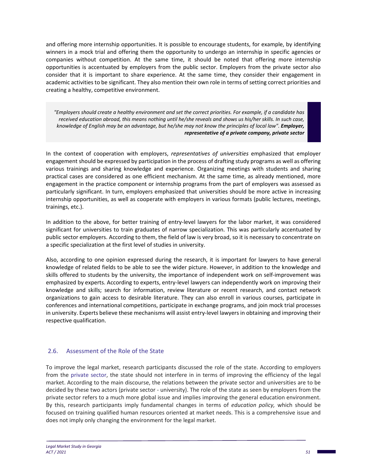and offering more internship opportunities. It is possible to encourage students, for example, by identifying winners in a mock trial and offering them the opportunity to undergo an internship in specific agencies or companies without competition. At the same time, it should be noted that offering more internship opportunities is accentuated by employers from the public sector. Employers from the private sector also consider that it is important to share experience. At the same time, they consider their engagement in academic activities to be significant. They also mention their own role in terms of setting correct priorities and creating a healthy, competitive environment.

*"Employers should create a healthy environment and set the correct priorities. For example, if a candidate has received education abroad, this means nothing until he/she reveals and shows us his/her skills. In such case, knowledge of English may be an advantage, but he/she may not know the principles of local law". Employer, representative of a private company, private sector* 

In the context of cooperation with employers, *representatives of universities* emphasized that employer engagement should be expressed by participation in the process of drafting study programs as well as offering various trainings and sharing knowledge and experience. Organizing meetings with students and sharing practical cases are considered as one efficient mechanism. At the same time, as already mentioned, more engagement in the practice component or internship programs from the part of employers was assessed as particularly significant. In turn, employers emphasized that universities should be more active in increasing internship opportunities, as well as cooperate with employers in various formats (public lectures, meetings, trainings, etc.).

In addition to the above, for better training of entry-level lawyers for the labor market, it was considered significant for universities to train graduates of narrow specialization. This was particularly accentuated by public sector employers. According to them, the field of law is very broad, so it is necessary to concentrate on a specific specialization at the first level of studies in university.

Also, according to one opinion expressed during the research, it is important for lawyers to have general knowledge of related fields to be able to see the wider picture. However, in addition to the knowledge and skills offered to students by the university, the importance of independent work on self-improvement was emphasized by experts. According to experts, entry-level lawyers can independently work on improving their knowledge and skills; search for information, review literature or recent research, and contact network organizations to gain access to desirable literature. They can also enroll in various courses, participate in conferences and international competitions, participate in exchange programs, and join mock trial processes in university. Experts believe these mechanisms will assist entry‐level lawyers in obtaining and improving their respective qualification.

# 2.6. Assessment of the Role of the State

To improve the legal market, research participants discussed the role of the state. According to employers from the private sector, the state should not interfere in in terms of improving the efficiency of the legal market. According to the main discourse, the relations between the private sector and universities are to be decided by these two actors (private sector ‐ university). The role of the state as seen by employers from the private sector refers to a much more global issue and implies improving the general education environment. By this, research participants imply fundamental changes in terms of *education policy,* which should be focused on training qualified human resources oriented at market needs. This is a comprehensive issue and does not imply only changing the environment for the legal market.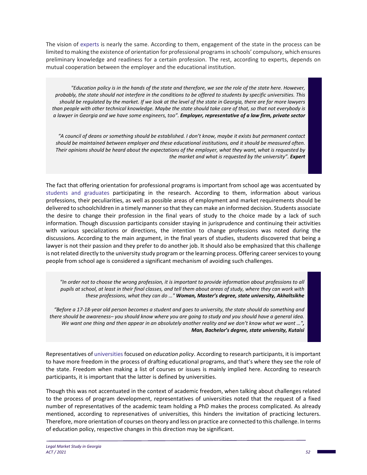The vision of experts is nearly the same. According to them, engagement of the state in the process can be limited to making the existence of orientation for professional programs in schools' compulsory, which ensures preliminary knowledge and readiness for a certain profession. The rest, according to experts, depends on mutual cooperation between the employer and the educational institution.

*"Education policy is in the hands of the state and therefore, we see the role of the state here. However, probably, the state should not interfere in the conditions to be offered to students by specific universities. This should be regulated by the market. If we look at the level of the state in Georgia, there are far more lawyers than people with other technical knowledge. Maybe the state should take care of that, so that not everybody is a lawyer in Georgia and we have some engineers, too". Employer, representative of a law firm, private sector* 

*"A council of deans or something should be established. I don't know, maybe it exists but permanent contact should be maintained between employer and these educational institutions, and it should be measured often. Their opinions should be heard about the expectations of the employer, what they want, what is requested by the market and what is requested by the university". Expert* 

The fact that offering orientation for professional programs is important from school age was accentuated by students and graduates participating in the research. According to them, information about various professions, their peculiarities, as well as possible areas of employment and market requirements should be delivered to schoolchildren in a timely manner so that they can make an informed decision. Students associate the desire to change their profession in the final years of study to the choice made by a lack of such information. Though discussion participants consider staying in jurisprudence and continuing their activities with various specializations or directions, the intention to change professions was noted during the discussions. According to the main argument, in the final years of studies, students discovered that being a lawyer is not their passion and they prefer to do another job. It should also be emphasized that this challenge is not related directly to the university study program or the learning process. Offering career services to young people from school age is considered a significant mechanism of avoiding such challenges.

 *"In order not to choose the wrong profession, it is important to provide information about professions to all pupils at school, at least in their final classes, and tell them about areas of study, where they can work with these professions, what they can do …" Woman, Master's degree, state university, Akhaltsikhe* 

*"Before a 17‐18‐year old person becomes a student and goes to university, the state should do something and there should be awareness– you should know where you are going to study and you should have a general idea. We want one thing and then appear in an absolutely another reality and we don't know what we want …", Man, Bachelor's degree, state university, Kutaisi* 

Representatives of universities focused on *education policy*. According to research participants, it is important to have more freedom in the process of drafting educational programs, and that's where they see the role of the state. Freedom when making a list of courses or issues is mainly implied here. According to research participants, it is important that the latter is defined by universities.

Though this was not accentuated in the context of academic freedom, when talking about challenges related to the process of program development, representatives of universities noted that the request of a fixed number of representatives of the academic team holding a PhD makes the process complicated. As already mentioned, according to represenatives of universities, this hinders the invitation of practicing lecturers. Therefore, more orientation of courses on theory and less on practice are connected to this challenge. In terms of education policy, respective changes in this direction may be significant.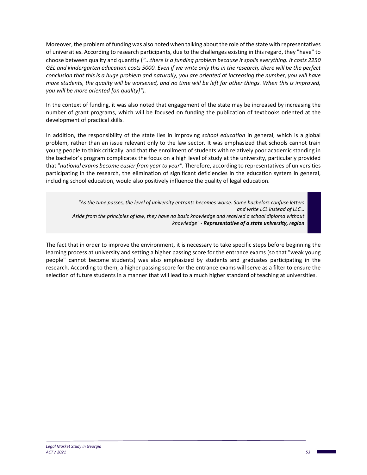Moreover, the problem of funding was also noted when talking about the role of the state with representatives of universities. According to research participants, due to the challenges existing in this regard, they "have" to choose between quality and quantity (*"...there is a funding problem because it spoils everything. It costs 2250 GEL and kindergarten education costs 5000. Even if we write only this in the research, there will be the perfect conclusion that this is a huge problem and naturally, you are oriented at increasing the number, you will have more students, the quality will be worsened, and no time will be left for other things. When this is improved, you will be more oriented [on quality]").*

In the context of funding, it was also noted that engagement of the state may be increased by increasing the number of grant programs, which will be focused on funding the publication of textbooks oriented at the development of practical skills.

In addition, the responsibility of the state lies in improving *school education* in general, which is a global problem, rather than an issue relevant only to the law sector. It was emphasized that schools cannot train young people to think critically, and that the enrollment of students with relatively poor academic standing in the bachelor's program complicates the focus on a high level of study at the university, particularly provided that "*national exams become easier from year to year".* Therefore, according to representatives of universities participating in the research, the elimination of significant deficiencies in the education system in general, including school education, would also positively influence the quality of legal education.

*"As the time passes, the level of university entrants becomes worse. Some bachelors confuse letters and write LCL instead of LLC… Aside from the principles of law, they have no basic knowledge and received a school diploma without knowledge" ‐ Representative of a state university, region* 

The fact that in order to improve the environment, it is necessary to take specific steps before beginning the learning process at university and setting a higher passing score for the entrance exams (so that "weak young people" cannot become students) was also emphasized by students and graduates participating in the research. According to them, a higher passing score for the entrance exams will serve as a filter to ensure the selection of future students in a manner that will lead to a much higher standard of teaching at universities.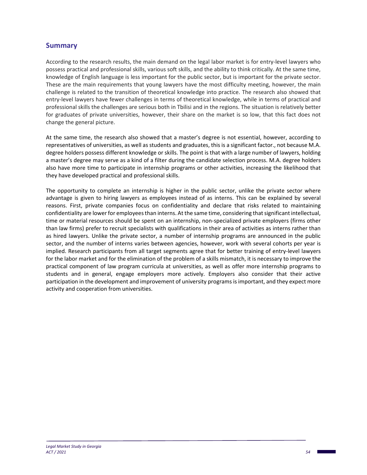# **Summary**

According to the research results, the main demand on the legal labor market is for entry‐level lawyers who possess practical and professional skills, various soft skills, and the ability to think critically. At the same time, knowledge of English language is less important for the public sector, but is important for the private sector. These are the main requirements that young lawyers have the most difficulty meeting, however, the main challenge is related to the transition of theoretical knowledge into practice. The research also showed that entry‐level lawyers have fewer challenges in terms of theoretical knowledge, while in terms of practical and professional skills the challenges are serious both in Tbilisi and in the regions. The situation is relatively better for graduates of private universities, however, their share on the market is so low, that this fact does not change the general picture.

At the same time, the research also showed that a master's degree is not essential, however, according to representatives of universities, as well as students and graduates, this is a significant factor., not because M.A. degree holders possess different knowledge or skills. The point is that with a large number of lawyers, holding a master's degree may serve as a kind of a filter during the candidate selection process. M.A. degree holders also have more time to participate in internship programs or other activities, increasing the likelihood that they have developed practical and professional skills.

The opportunity to complete an internship is higher in the public sector, unlike the private sector where advantage is given to hiring lawyers as employees instead of as interns. This can be explained by several reasons. First, private companies focus on confidentiality and declare that risks related to maintaining confidentiality are lower for employees than interns. At the same time, considering that significant intellectual, time or material resources should be spent on an internship, non-specialized private employers (firms other than law firms) prefer to recruit specialists with qualifications in their area of activities as interns rather than as hired lawyers. Unlike the private sector, a number of internship programs are announced in the public sector, and the number of interns varies between agencies, however, work with several cohorts per year is implied. Research participants from all target segments agree that for better training of entry‐level lawyers for the labor market and for the elimination of the problem of a skills mismatch, it is necessary to improve the practical component of law program curricula at universities, as well as offer more internship programs to students and in general, engage employers more actively. Employers also consider that their active participation in the development and improvement of university programs is important, and they expect more activity and cooperation from universities.